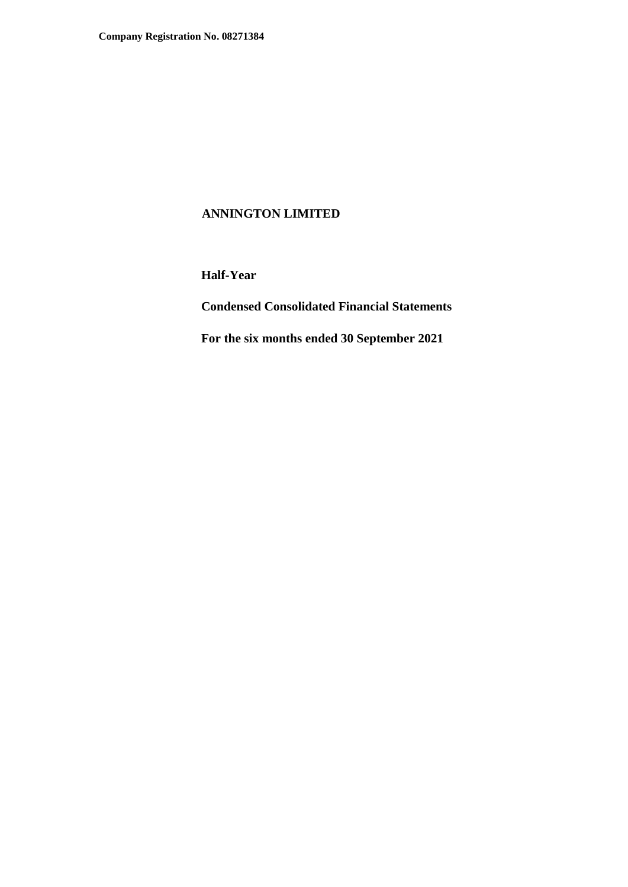**Half-Year** 

**Condensed Consolidated Financial Statements** 

**For the six months ended 30 September 2021**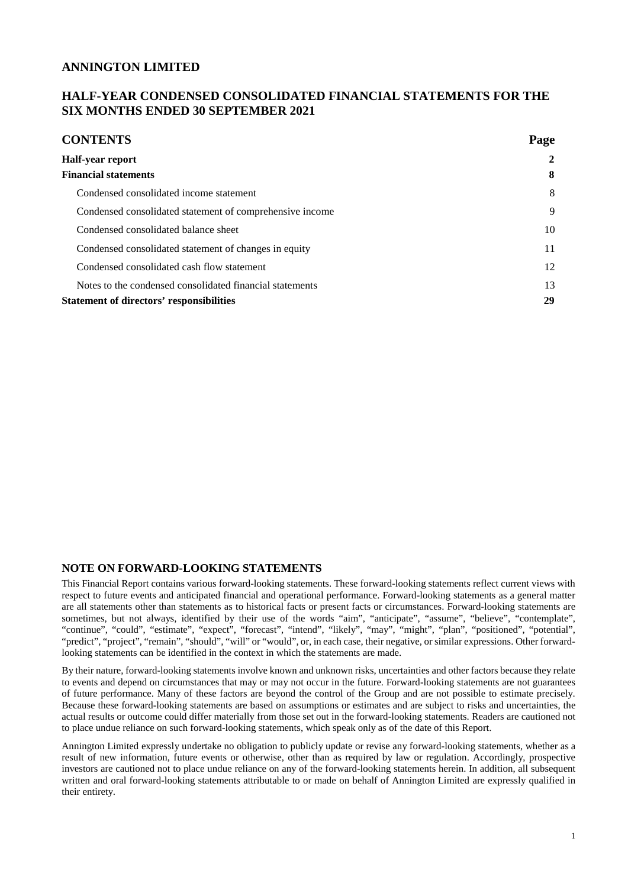## **HALF-YEAR CONDENSED CONSOLIDATED FINANCIAL STATEMENTS FOR THE SIX MONTHS ENDED 30 SEPTEMBER 2021**

| <b>CONTENTS</b>                                          | Page         |
|----------------------------------------------------------|--------------|
| <b>Half-year report</b>                                  | $\mathbf{2}$ |
| <b>Financial statements</b>                              | 8            |
| Condensed consolidated income statement                  | 8            |
| Condensed consolidated statement of comprehensive income | 9            |
| Condensed consolidated balance sheet                     | 10           |
| Condensed consolidated statement of changes in equity    | 11           |
| Condensed consolidated cash flow statement               | 12           |
| Notes to the condensed consolidated financial statements | 13           |
| <b>Statement of directors' responsibilities</b>          | 29           |

#### **NOTE ON FORWARD-LOOKING STATEMENTS**

This Financial Report contains various forward-looking statements. These forward-looking statements reflect current views with respect to future events and anticipated financial and operational performance. Forward-looking statements as a general matter are all statements other than statements as to historical facts or present facts or circumstances. Forward-looking statements are sometimes, but not always, identified by their use of the words "aim", "anticipate", "assume", "believe", "contemplate", "continue", "could", "estimate", "expect", "forecast", "intend", "likely", "may", "might", "plan", "positioned", "potential", "predict", "project", "remain", "should", "will" or "would", or, in each case, their negative, or similar expressions. Other forwardlooking statements can be identified in the context in which the statements are made.

By their nature, forward-looking statements involve known and unknown risks, uncertainties and other factors because they relate to events and depend on circumstances that may or may not occur in the future. Forward-looking statements are not guarantees of future performance. Many of these factors are beyond the control of the Group and are not possible to estimate precisely. Because these forward-looking statements are based on assumptions or estimates and are subject to risks and uncertainties, the actual results or outcome could differ materially from those set out in the forward-looking statements. Readers are cautioned not to place undue reliance on such forward-looking statements, which speak only as of the date of this Report.

Annington Limited expressly undertake no obligation to publicly update or revise any forward-looking statements, whether as a result of new information, future events or otherwise, other than as required by law or regulation. Accordingly, prospective investors are cautioned not to place undue reliance on any of the forward-looking statements herein. In addition, all subsequent written and oral forward-looking statements attributable to or made on behalf of Annington Limited are expressly qualified in their entirety.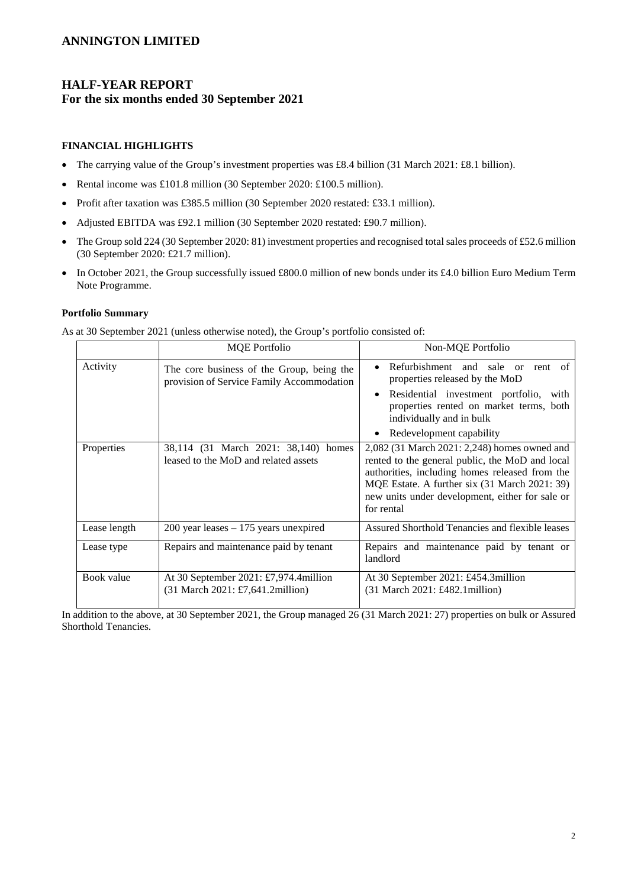# **HALF-YEAR REPORT For the six months ended 30 September 2021**

#### **FINANCIAL HIGHLIGHTS**

- The carrying value of the Group's investment properties was £8.4 billion (31 March 2021: £8.1 billion).
- Rental income was £101.8 million (30 September 2020: £100.5 million).
- Profit after taxation was £385.5 million (30 September 2020 restated: £33.1 million).
- Adjusted EBITDA was £92.1 million (30 September 2020 restated: £90.7 million).
- The Group sold 224 (30 September 2020: 81) investment properties and recognised total sales proceeds of £52.6 million (30 September 2020: £21.7 million).
- In October 2021, the Group successfully issued £800.0 million of new bonds under its £4.0 billion Euro Medium Term Note Programme.

#### **Portfolio Summary**

As at 30 September 2021 (unless otherwise noted), the Group's portfolio consisted of:

|              | <b>MQE</b> Portfolio                                                                   | Non-MQE Portfolio                                                                                                                                                                                                                                                   |
|--------------|----------------------------------------------------------------------------------------|---------------------------------------------------------------------------------------------------------------------------------------------------------------------------------------------------------------------------------------------------------------------|
| Activity     | The core business of the Group, being the<br>provision of Service Family Accommodation | Refurbishment and sale<br>rent of<br>$\alpha$<br>properties released by the MoD<br>Residential investment portfolio, with<br>properties rented on market terms, both<br>individually and in bulk<br>Redevelopment capability                                        |
| Properties   | 38,114 (31 March 2021: 38,140) homes<br>leased to the MoD and related assets           | 2,082 (31 March 2021: 2,248) homes owned and<br>rented to the general public, the MoD and local<br>authorities, including homes released from the<br>MQE Estate. A further six (31 March 2021: 39)<br>new units under development, either for sale or<br>for rental |
| Lease length | $200$ year leases $-175$ years unexpired                                               | Assured Shorthold Tenancies and flexible leases                                                                                                                                                                                                                     |
| Lease type   | Repairs and maintenance paid by tenant                                                 | Repairs and maintenance paid by tenant or<br>landlord                                                                                                                                                                                                               |
| Book value   | At 30 September 2021: £7,974.4million<br>(31 March 2021: £7,641.2million)              | At 30 September 2021: £454.3million<br>(31 March 2021: £482.1 million)                                                                                                                                                                                              |

In addition to the above, at 30 September 2021, the Group managed 26 (31 March 2021: 27) properties on bulk or Assured Shorthold Tenancies.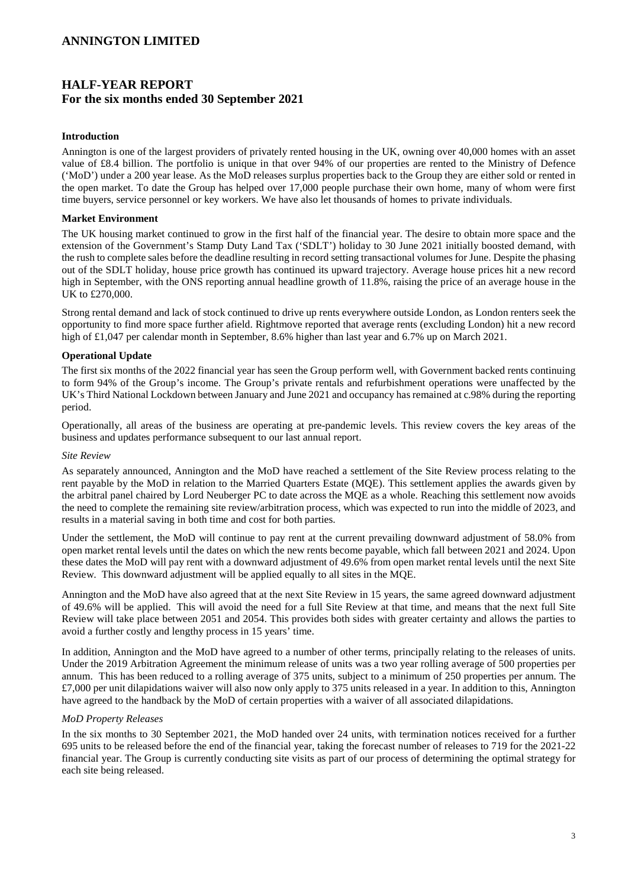# **HALF-YEAR REPORT For the six months ended 30 September 2021**

#### **Introduction**

Annington is one of the largest providers of privately rented housing in the UK, owning over 40,000 homes with an asset value of £8.4 billion. The portfolio is unique in that over 94% of our properties are rented to the Ministry of Defence ('MoD') under a 200 year lease. As the MoD releases surplus properties back to the Group they are either sold or rented in the open market. To date the Group has helped over 17,000 people purchase their own home, many of whom were first time buyers, service personnel or key workers. We have also let thousands of homes to private individuals.

#### **Market Environment**

The UK housing market continued to grow in the first half of the financial year. The desire to obtain more space and the extension of the Government's Stamp Duty Land Tax ('SDLT') holiday to 30 June 2021 initially boosted demand, with the rush to complete sales before the deadline resulting in record setting transactional volumes for June. Despite the phasing out of the SDLT holiday, house price growth has continued its upward trajectory. Average house prices hit a new record high in September, with the ONS reporting annual headline growth of 11.8%, raising the price of an average house in the UK to £270,000.

Strong rental demand and lack of stock continued to drive up rents everywhere outside London, as London renters seek the opportunity to find more space further afield. Rightmove reported that average rents (excluding London) hit a new record high of £1,047 per calendar month in September, 8.6% higher than last year and 6.7% up on March 2021.

### **Operational Update**

The first six months of the 2022 financial year has seen the Group perform well, with Government backed rents continuing to form 94% of the Group's income. The Group's private rentals and refurbishment operations were unaffected by the UK's Third National Lockdown between January and June 2021 and occupancy has remained at c.98% during the reporting period.

Operationally, all areas of the business are operating at pre-pandemic levels. This review covers the key areas of the business and updates performance subsequent to our last annual report.

#### *Site Review*

As separately announced, Annington and the MoD have reached a settlement of the Site Review process relating to the rent payable by the MoD in relation to the Married Quarters Estate (MQE). This settlement applies the awards given by the arbitral panel chaired by Lord Neuberger PC to date across the MQE as a whole. Reaching this settlement now avoids the need to complete the remaining site review/arbitration process, which was expected to run into the middle of 2023, and results in a material saving in both time and cost for both parties.

Under the settlement, the MoD will continue to pay rent at the current prevailing downward adjustment of 58.0% from open market rental levels until the dates on which the new rents become payable, which fall between 2021 and 2024. Upon these dates the MoD will pay rent with a downward adjustment of 49.6% from open market rental levels until the next Site Review. This downward adjustment will be applied equally to all sites in the MQE.

Annington and the MoD have also agreed that at the next Site Review in 15 years, the same agreed downward adjustment of 49.6% will be applied. This will avoid the need for a full Site Review at that time, and means that the next full Site Review will take place between 2051 and 2054. This provides both sides with greater certainty and allows the parties to avoid a further costly and lengthy process in 15 years' time.

In addition, Annington and the MoD have agreed to a number of other terms, principally relating to the releases of units. Under the 2019 Arbitration Agreement the minimum release of units was a two year rolling average of 500 properties per annum. This has been reduced to a rolling average of 375 units, subject to a minimum of 250 properties per annum. The  $£7,000$  per unit dilapidations waiver will also now only apply to 375 units released in a year. In addition to this, Annington have agreed to the handback by the MoD of certain properties with a waiver of all associated dilapidations.

#### *MoD Property Releases*

In the six months to 30 September 2021, the MoD handed over 24 units, with termination notices received for a further 695 units to be released before the end of the financial year, taking the forecast number of releases to 719 for the 2021-22 financial year. The Group is currently conducting site visits as part of our process of determining the optimal strategy for each site being released.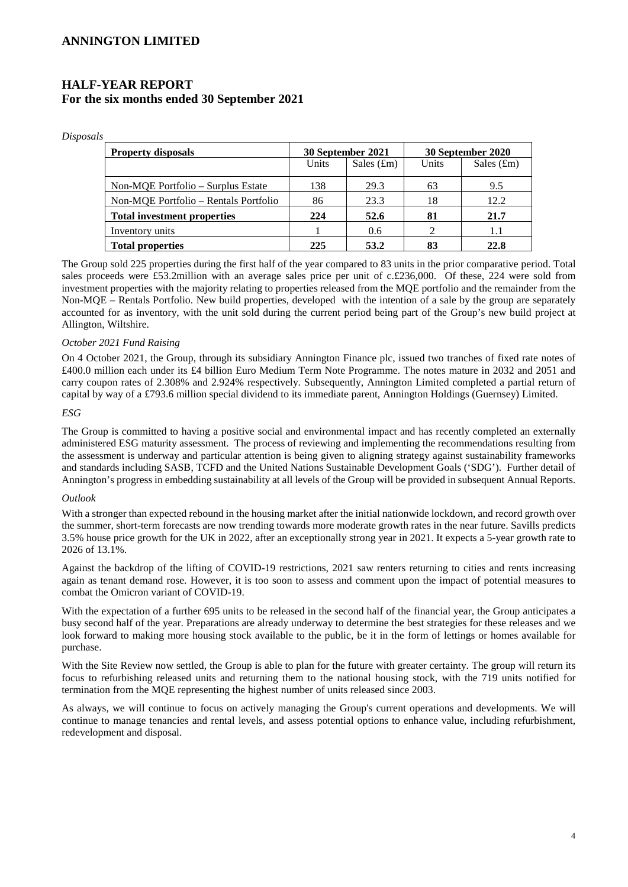# **HALF-YEAR REPORT For the six months ended 30 September 2021**

*Disposals* 

| <b>Property disposals</b>             | 30 September 2021 |               | 30 September 2020 |               |
|---------------------------------------|-------------------|---------------|-------------------|---------------|
|                                       | Units             | Sales $(f_m)$ | Units             | Sales $(f_m)$ |
| Non-MOE Portfolio – Surplus Estate    | 138               | 29.3          | 63                | 9.5           |
| Non-MQE Portfolio – Rentals Portfolio | 86                | 23.3          | 18                | 12.2          |
| <b>Total investment properties</b>    | 224               | 52.6          | 81                | 21.7          |
| Inventory units                       |                   | 0.6           |                   | 1.1           |
| <b>Total properties</b>               | 225               | 53.2          |                   | 22.8          |

The Group sold 225 properties during the first half of the year compared to 83 units in the prior comparative period. Total sales proceeds were £53.2million with an average sales price per unit of c.£236,000. Of these, 224 were sold from investment properties with the majority relating to properties released from the MQE portfolio and the remainder from the Non-MQE – Rentals Portfolio. New build properties, developed with the intention of a sale by the group are separately accounted for as inventory, with the unit sold during the current period being part of the Group's new build project at Allington, Wiltshire.

#### *October 2021 Fund Raising*

On 4 October 2021, the Group, through its subsidiary Annington Finance plc, issued two tranches of fixed rate notes of £400.0 million each under its £4 billion Euro Medium Term Note Programme. The notes mature in 2032 and 2051 and carry coupon rates of 2.308% and 2.924% respectively. Subsequently, Annington Limited completed a partial return of capital by way of a £793.6 million special dividend to its immediate parent, Annington Holdings (Guernsey) Limited.

#### *ESG*

The Group is committed to having a positive social and environmental impact and has recently completed an externally administered ESG maturity assessment. The process of reviewing and implementing the recommendations resulting from the assessment is underway and particular attention is being given to aligning strategy against sustainability frameworks and standards including SASB, TCFD and the United Nations Sustainable Development Goals ('SDG'). Further detail of Annington's progress in embedding sustainability at all levels of the Group will be provided in subsequent Annual Reports.

#### *Outlook*

With a stronger than expected rebound in the housing market after the initial nationwide lockdown, and record growth over the summer, short-term forecasts are now trending towards more moderate growth rates in the near future. Savills predicts 3.5% house price growth for the UK in 2022, after an exceptionally strong year in 2021. It expects a 5-year growth rate to 2026 of 13.1%.

Against the backdrop of the lifting of COVID-19 restrictions, 2021 saw renters returning to cities and rents increasing again as tenant demand rose. However, it is too soon to assess and comment upon the impact of potential measures to combat the Omicron variant of COVID-19.

With the expectation of a further 695 units to be released in the second half of the financial year, the Group anticipates a busy second half of the year. Preparations are already underway to determine the best strategies for these releases and we look forward to making more housing stock available to the public, be it in the form of lettings or homes available for purchase.

With the Site Review now settled, the Group is able to plan for the future with greater certainty. The group will return its focus to refurbishing released units and returning them to the national housing stock, with the 719 units notified for termination from the MQE representing the highest number of units released since 2003.

As always, we will continue to focus on actively managing the Group's current operations and developments. We will continue to manage tenancies and rental levels, and assess potential options to enhance value, including refurbishment, redevelopment and disposal.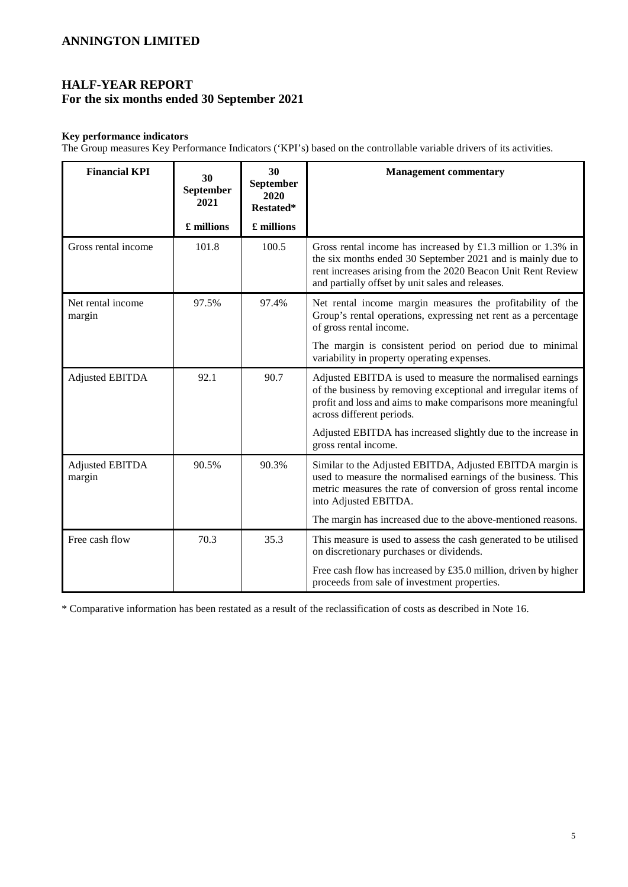# **HALF-YEAR REPORT For the six months ended 30 September 2021**

### **Key performance indicators**

The Group measures Key Performance Indicators ('KPI's) based on the controllable variable drivers of its activities.

| <b>Financial KPI</b>             | 30<br>September<br>2021 | 30<br>September<br>2020<br>Restated* | <b>Management commentary</b>                                                                                                                                                                                                                    |
|----------------------------------|-------------------------|--------------------------------------|-------------------------------------------------------------------------------------------------------------------------------------------------------------------------------------------------------------------------------------------------|
|                                  | £ millions              | £ millions                           |                                                                                                                                                                                                                                                 |
| Gross rental income              | 101.8                   | 100.5                                | Gross rental income has increased by £1.3 million or 1.3% in<br>the six months ended 30 September 2021 and is mainly due to<br>rent increases arising from the 2020 Beacon Unit Rent Review<br>and partially offset by unit sales and releases. |
| Net rental income<br>margin      | 97.5%                   | 97.4%                                | Net rental income margin measures the profitability of the<br>Group's rental operations, expressing net rent as a percentage<br>of gross rental income.                                                                                         |
|                                  |                         |                                      | The margin is consistent period on period due to minimal<br>variability in property operating expenses.                                                                                                                                         |
| <b>Adjusted EBITDA</b>           | 92.1                    | 90.7                                 | Adjusted EBITDA is used to measure the normalised earnings<br>of the business by removing exceptional and irregular items of<br>profit and loss and aims to make comparisons more meaningful<br>across different periods.                       |
|                                  |                         |                                      | Adjusted EBITDA has increased slightly due to the increase in<br>gross rental income.                                                                                                                                                           |
| <b>Adjusted EBITDA</b><br>margin | 90.5%                   | 90.3%                                | Similar to the Adjusted EBITDA, Adjusted EBITDA margin is<br>used to measure the normalised earnings of the business. This<br>metric measures the rate of conversion of gross rental income<br>into Adjusted EBITDA.                            |
|                                  |                         |                                      | The margin has increased due to the above-mentioned reasons.                                                                                                                                                                                    |
| Free cash flow                   | 70.3                    | 35.3                                 | This measure is used to assess the cash generated to be utilised<br>on discretionary purchases or dividends.                                                                                                                                    |
|                                  |                         |                                      | Free cash flow has increased by £35.0 million, driven by higher<br>proceeds from sale of investment properties.                                                                                                                                 |

\* Comparative information has been restated as a result of the reclassification of costs as described in Note 16.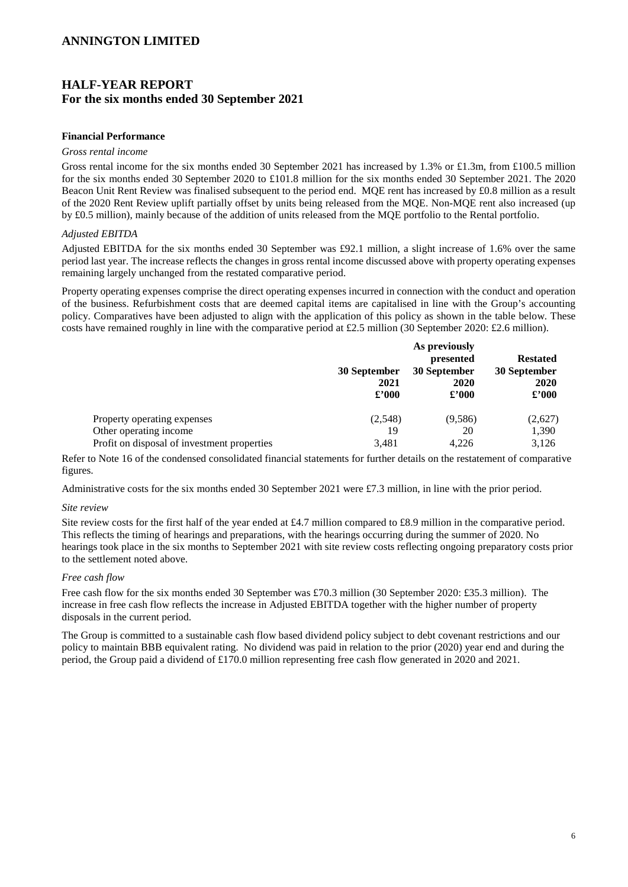# **HALF-YEAR REPORT For the six months ended 30 September 2021**

#### **Financial Performance**

#### *Gross rental income*

Gross rental income for the six months ended 30 September 2021 has increased by 1.3% or £1.3m, from £100.5 million for the six months ended 30 September 2020 to £101.8 million for the six months ended 30 September 2021. The 2020 Beacon Unit Rent Review was finalised subsequent to the period end. MOE rent has increased by £0.8 million as a result of the 2020 Rent Review uplift partially offset by units being released from the MQE. Non-MQE rent also increased (up by £0.5 million), mainly because of the addition of units released from the MQE portfolio to the Rental portfolio.

#### *Adjusted EBITDA*

Adjusted EBITDA for the six months ended 30 September was £92.1 million, a slight increase of 1.6% over the same period last year. The increase reflects the changes in gross rental income discussed above with property operating expenses remaining largely unchanged from the restated comparative period.

Property operating expenses comprise the direct operating expenses incurred in connection with the conduct and operation of the business. Refurbishment costs that are deemed capital items are capitalised in line with the Group's accounting policy. Comparatives have been adjusted to align with the application of this policy as shown in the table below. These costs have remained roughly in line with the comparative period at £2.5 million (30 September 2020: £2.6 million).

|                                             | 30 September<br>2021<br>$\pounds$ '000 | As previously<br>presented<br>30 September<br>2020<br>$\pounds$ '000 | <b>Restated</b><br>30 September<br>2020<br>$\pounds$ '000 |
|---------------------------------------------|----------------------------------------|----------------------------------------------------------------------|-----------------------------------------------------------|
| Property operating expenses                 | (2,548)                                | (9,586)                                                              | (2,627)                                                   |
| Other operating income                      | 19                                     | 20                                                                   | 1,390                                                     |
| Profit on disposal of investment properties | 3,481                                  | 4.226                                                                | 3,126                                                     |

Refer to Note 16 of the condensed consolidated financial statements for further details on the restatement of comparative figures.

Administrative costs for the six months ended 30 September 2021 were £7.3 million, in line with the prior period.

#### *Site review*

Site review costs for the first half of the year ended at £4.7 million compared to £8.9 million in the comparative period. This reflects the timing of hearings and preparations, with the hearings occurring during the summer of 2020. No hearings took place in the six months to September 2021 with site review costs reflecting ongoing preparatory costs prior to the settlement noted above.

#### *Free cash flow*

Free cash flow for the six months ended 30 September was £70.3 million (30 September 2020: £35.3 million). The increase in free cash flow reflects the increase in Adjusted EBITDA together with the higher number of property disposals in the current period.

The Group is committed to a sustainable cash flow based dividend policy subject to debt covenant restrictions and our policy to maintain BBB equivalent rating. No dividend was paid in relation to the prior (2020) year end and during the period, the Group paid a dividend of £170.0 million representing free cash flow generated in 2020 and 2021.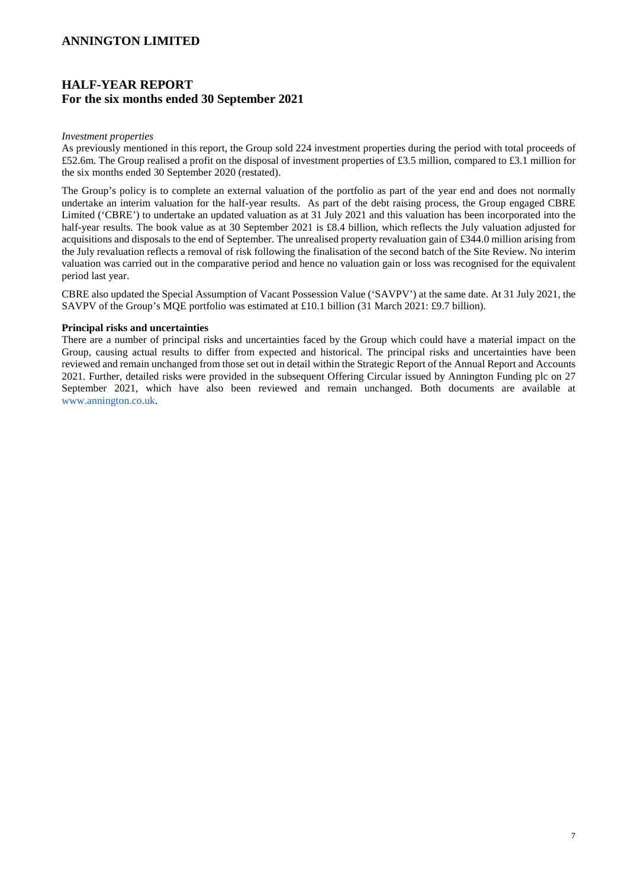# **HALF-YEAR REPORT For the six months ended 30 September 2021**

#### *Investment properties*

As previously mentioned in this report, the Group sold 224 investment properties during the period with total proceeds of £52.6m. The Group realised a profit on the disposal of investment properties of £3.5 million, compared to £3.1 million for the six months ended 30 September 2020 (restated).

The Group's policy is to complete an external valuation of the portfolio as part of the year end and does not normally undertake an interim valuation for the half-year results. As part of the debt raising process, the Group engaged CBRE Limited ('CBRE') to undertake an updated valuation as at 31 July 2021 and this valuation has been incorporated into the half-year results. The book value as at 30 September 2021 is £8.4 billion, which reflects the July valuation adjusted for acquisitions and disposals to the end of September. The unrealised property revaluation gain of £344.0 million arising from the July revaluation reflects a removal of risk following the finalisation of the second batch of the Site Review. No interim valuation was carried out in the comparative period and hence no valuation gain or loss was recognised for the equivalent period last year.

CBRE also updated the Special Assumption of Vacant Possession Value ('SAVPV') at the same date. At 31 July 2021, the SAVPV of the Group's MQE portfolio was estimated at £10.1 billion (31 March 2021: £9.7 billion).

#### **Principal risks and uncertainties**

There are a number of principal risks and uncertainties faced by the Group which could have a material impact on the Group, causing actual results to differ from expected and historical. The principal risks and uncertainties have been reviewed and remain unchanged from those set out in detail within the Strategic Report of the Annual Report and Accounts 2021. Further, detailed risks were provided in the subsequent Offering Circular issued by Annington Funding plc on 27 September 2021, which have also been reviewed and remain unchanged. Both documents are available at www.annington.co.uk.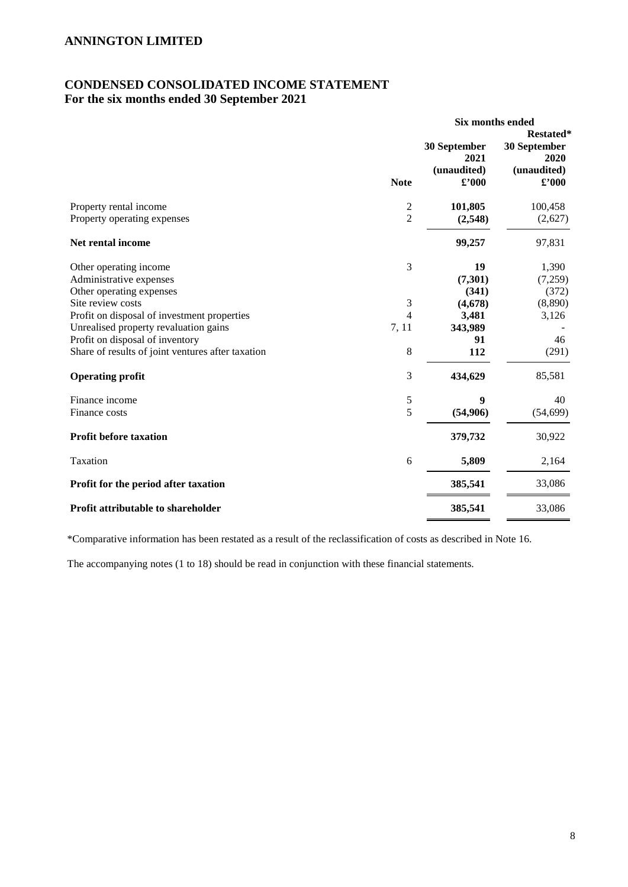# **CONDENSED CONSOLIDATED INCOME STATEMENT For the six months ended 30 September 2021**

|                                                                                                                         |                                           | Six months ended                                      |                                                                    |  |
|-------------------------------------------------------------------------------------------------------------------------|-------------------------------------------|-------------------------------------------------------|--------------------------------------------------------------------|--|
|                                                                                                                         | <b>Note</b>                               | 30 September<br>2021<br>(unaudited)<br>$\pounds$ '000 | Restated*<br>30 September<br>2020<br>(unaudited)<br>$\pounds$ '000 |  |
| Property rental income<br>Property operating expenses                                                                   | $\overline{\mathbf{c}}$<br>$\overline{2}$ | 101,805<br>(2,548)                                    | 100,458<br>(2,627)                                                 |  |
| <b>Net rental income</b>                                                                                                |                                           | 99,257                                                | 97,831                                                             |  |
| Other operating income<br>Administrative expenses<br>Other operating expenses<br>Site review costs                      | 3<br>3                                    | 19<br>(7,301)<br>(341)<br>(4,678)                     | 1,390<br>(7,259)<br>(372)<br>(8,890)                               |  |
| Profit on disposal of investment properties<br>Unrealised property revaluation gains<br>Profit on disposal of inventory | 4<br>7, 11                                | 3,481<br>343,989<br>91                                | 3,126<br>46                                                        |  |
| Share of results of joint ventures after taxation                                                                       | 8                                         | 112                                                   | (291)                                                              |  |
| <b>Operating profit</b>                                                                                                 | 3                                         | 434,629                                               | 85,581                                                             |  |
| Finance income<br>Finance costs                                                                                         | 5<br>5                                    | 9<br>(54,906)                                         | 40<br>(54, 699)                                                    |  |
| Profit before taxation                                                                                                  |                                           | 379,732                                               | 30,922                                                             |  |
| Taxation                                                                                                                | 6                                         | 5,809                                                 | 2,164                                                              |  |
| Profit for the period after taxation                                                                                    |                                           | 385,541                                               | 33,086                                                             |  |
| Profit attributable to shareholder                                                                                      |                                           | 385,541                                               | 33,086                                                             |  |

\*Comparative information has been restated as a result of the reclassification of costs as described in Note 16.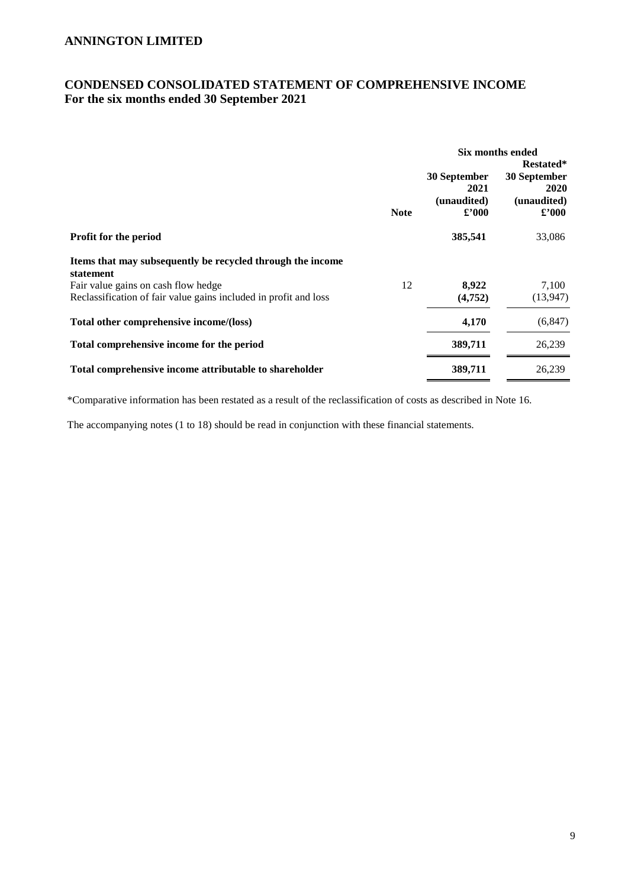# **CONDENSED CONSOLIDATED STATEMENT OF COMPREHENSIVE INCOME For the six months ended 30 September 2021**

|                                                                         |             | Six months ended                                      |                                                                          |
|-------------------------------------------------------------------------|-------------|-------------------------------------------------------|--------------------------------------------------------------------------|
|                                                                         | <b>Note</b> | 30 September<br>2021<br>(unaudited)<br>$\pounds$ '000 | Restated*<br>30 September<br><b>2020</b><br>(unaudited)<br>$\pounds 000$ |
| Profit for the period                                                   |             | 385,541                                               | 33,086                                                                   |
| Items that may subsequently be recycled through the income<br>statement |             |                                                       |                                                                          |
| Fair value gains on cash flow hedge                                     | 12          | 8,922                                                 | 7,100                                                                    |
| Reclassification of fair value gains included in profit and loss        |             | (4,752)                                               | (13, 947)                                                                |
| Total other comprehensive income/(loss)                                 |             | 4,170                                                 | (6, 847)                                                                 |
| Total comprehensive income for the period                               |             | 389,711                                               | 26,239                                                                   |
| Total comprehensive income attributable to shareholder                  |             | 389,711                                               | 26,239                                                                   |

\*Comparative information has been restated as a result of the reclassification of costs as described in Note 16.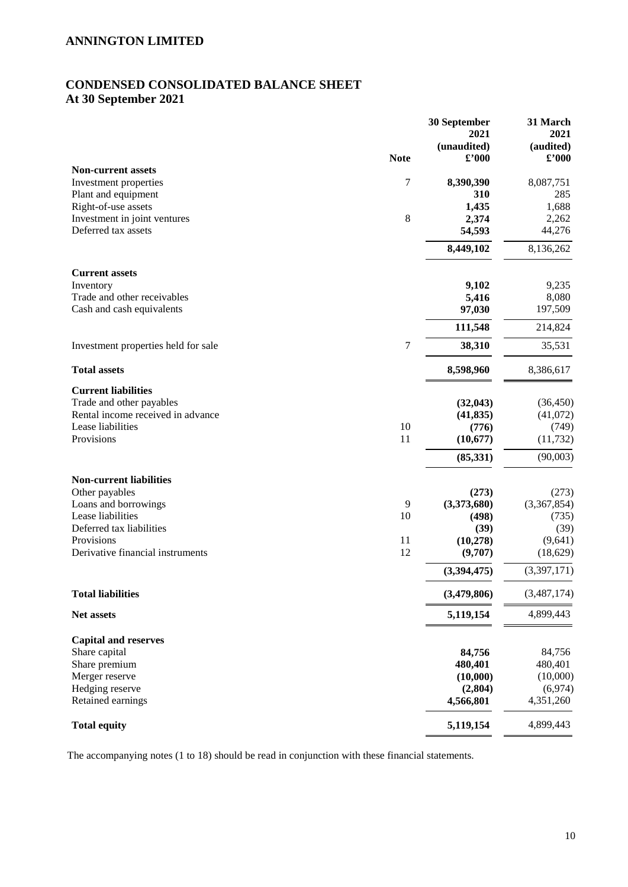# **CONDENSED CONSOLIDATED BALANCE SHEET At 30 September 2021**

|                                     |             | 30 September<br>2021          | 31 March<br>2021                         |
|-------------------------------------|-------------|-------------------------------|------------------------------------------|
|                                     | <b>Note</b> | (unaudited)<br>$\pounds$ '000 | (audited)<br>$\pmb{\pounds}^{\prime}000$ |
| <b>Non-current assets</b>           |             |                               |                                          |
| Investment properties               | 7           | 8,390,390                     | 8,087,751                                |
| Plant and equipment                 |             | 310                           | 285                                      |
| Right-of-use assets                 |             | 1,435                         | 1,688                                    |
| Investment in joint ventures        | 8           | 2,374                         | 2,262                                    |
| Deferred tax assets                 |             | 54,593                        | 44,276                                   |
|                                     |             | 8,449,102                     | 8,136,262                                |
| <b>Current assets</b>               |             |                               |                                          |
| Inventory                           |             | 9,102                         | 9,235                                    |
| Trade and other receivables         |             | 5,416                         | 8,080                                    |
| Cash and cash equivalents           |             | 97,030                        | 197,509                                  |
|                                     |             | 111,548                       | 214,824                                  |
| Investment properties held for sale | 7           | 38,310                        | 35,531                                   |
| <b>Total assets</b>                 |             | 8,598,960                     | 8,386,617                                |
| <b>Current liabilities</b>          |             |                               |                                          |
| Trade and other payables            |             | (32, 043)                     | (36, 450)                                |
| Rental income received in advance   |             | (41, 835)                     | (41,072)                                 |
| Lease liabilities                   | 10          | (776)                         | (749)                                    |
| Provisions                          | 11          | (10,677)                      | (11, 732)                                |
|                                     |             | (85, 331)                     | (90,003)                                 |
| <b>Non-current liabilities</b>      |             |                               |                                          |
| Other payables                      |             | (273)                         | (273)                                    |
| Loans and borrowings                | 9           | (3,373,680)                   | (3,367,854)                              |
| Lease liabilities                   | 10          | (498)                         | (735)                                    |
| Deferred tax liabilities            |             | (39)                          | (39)                                     |
| Provisions                          | 11          | (10, 278)                     | (9,641)                                  |
| Derivative financial instruments    | 12          | (9,707)                       | (18, 629)                                |
|                                     |             | (3,394,475)                   | (3,397,171)                              |
| <b>Total liabilities</b>            |             | (3,479,806)                   | (3,487,174)                              |
| Net assets                          |             | 5,119,154                     | 4,899,443                                |
| <b>Capital and reserves</b>         |             |                               |                                          |
| Share capital                       |             | 84,756                        | 84,756                                   |
| Share premium                       |             | 480,401                       | 480,401                                  |
| Merger reserve                      |             | (10,000)                      | (10,000)                                 |
| Hedging reserve                     |             | (2,804)                       | (6,974)                                  |
| Retained earnings                   |             | 4,566,801                     | 4,351,260                                |
| <b>Total equity</b>                 |             | 5,119,154                     | 4,899,443                                |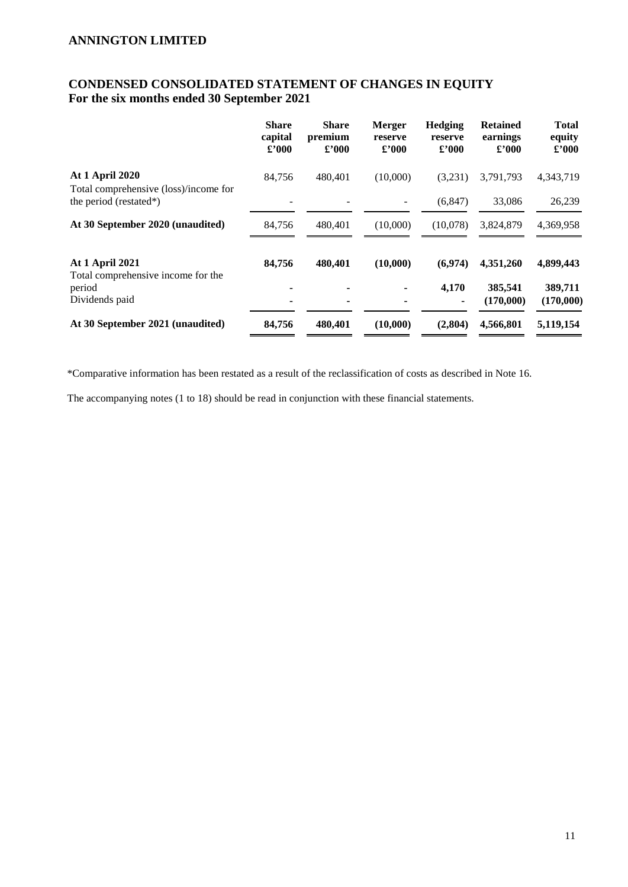# **CONDENSED CONSOLIDATED STATEMENT OF CHANGES IN EQUITY For the six months ended 30 September 2021**

|                                                                 | <b>Share</b><br>capital<br>$\pounds 000$ | <b>Share</b><br>premium<br>$\pounds$ '000 | <b>Merger</b><br>reserve<br>$\pounds$ '000 | <b>Hedging</b><br>reserve<br>£2000 | <b>Retained</b><br>earnings<br>$\pounds$ '000 | <b>Total</b><br>equity<br>$\pounds$ '000 |
|-----------------------------------------------------------------|------------------------------------------|-------------------------------------------|--------------------------------------------|------------------------------------|-----------------------------------------------|------------------------------------------|
| <b>At 1 April 2020</b>                                          | 84,756                                   | 480,401                                   | (10,000)                                   | (3,231)                            | 3,791,793                                     | 4,343,719                                |
| Total comprehensive (loss)/income for<br>the period (restated*) |                                          |                                           |                                            | (6, 847)                           | 33,086                                        | 26,239                                   |
| At 30 September 2020 (unaudited)                                | 84,756                                   | 480,401                                   | (10,000)                                   | (10,078)                           | 3,824,879                                     | 4,369,958                                |
| <b>At 1 April 2021</b><br>Total comprehensive income for the    | 84,756                                   | 480,401                                   | (10,000)                                   | (6,974)                            | 4,351,260                                     | 4,899,443                                |
| period<br>Dividends paid                                        | ٠                                        |                                           |                                            | 4,170<br>۰                         | 385,541<br>(170,000)                          | 389,711<br>(170,000)                     |
| At 30 September 2021 (unaudited)                                | 84,756                                   | 480,401                                   | (10,000)                                   | (2,804)                            | 4,566,801                                     | 5,119,154                                |

\*Comparative information has been restated as a result of the reclassification of costs as described in Note 16.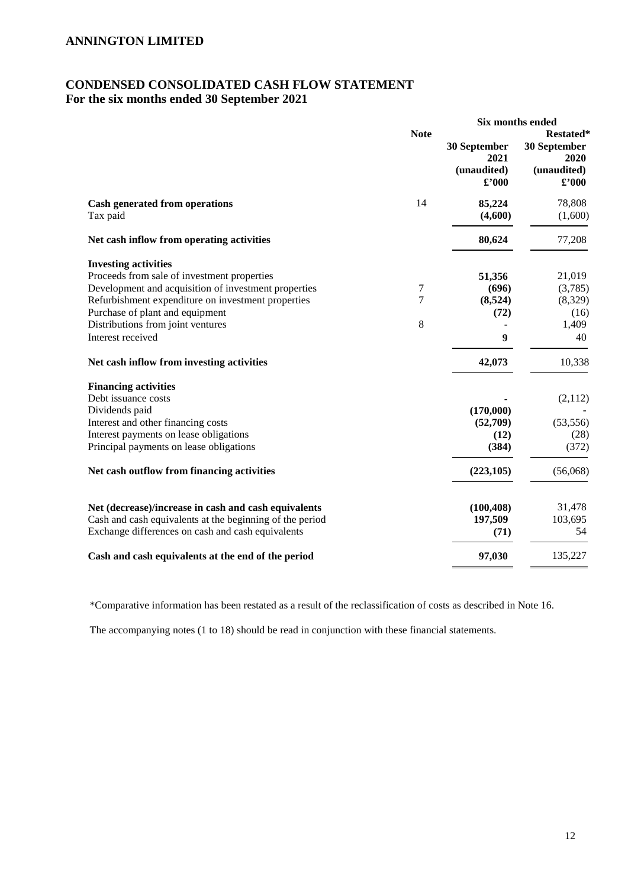# **CONDENSED CONSOLIDATED CASH FLOW STATEMENT For the six months ended 30 September 2021**

|                                                                                                                                                                                                                                                                                                                                    |             | Six months ended                                      |                                                                           |
|------------------------------------------------------------------------------------------------------------------------------------------------------------------------------------------------------------------------------------------------------------------------------------------------------------------------------------|-------------|-------------------------------------------------------|---------------------------------------------------------------------------|
|                                                                                                                                                                                                                                                                                                                                    | <b>Note</b> | 30 September<br>2021<br>(unaudited)<br>$\pounds$ '000 | <b>Restated*</b><br>30 September<br>2020<br>(unaudited)<br>$\pounds$ '000 |
| <b>Cash generated from operations</b><br>Tax paid                                                                                                                                                                                                                                                                                  | 14          | 85,224<br>(4,600)                                     | 78,808<br>(1,600)                                                         |
| Net cash inflow from operating activities                                                                                                                                                                                                                                                                                          |             | 80,624                                                | 77,208                                                                    |
| <b>Investing activities</b><br>Proceeds from sale of investment properties<br>Development and acquisition of investment properties<br>Refurbishment expenditure on investment properties<br>Purchase of plant and equipment<br>Distributions from joint ventures<br>Interest received<br>Net cash inflow from investing activities | 7<br>7<br>8 | 51,356<br>(696)<br>(8,524)<br>(72)<br>9<br>42,073     | 21,019<br>(3,785)<br>(8,329)<br>(16)<br>1,409<br>40<br>10,338             |
| <b>Financing activities</b><br>Debt issuance costs<br>Dividends paid<br>Interest and other financing costs<br>Interest payments on lease obligations<br>Principal payments on lease obligations<br>Net cash outflow from financing activities                                                                                      |             | (170,000)<br>(52,709)<br>(12)<br>(384)<br>(223, 105)  | (2,112)<br>(53, 556)<br>(28)<br>(372)<br>(56,068)                         |
| Net (decrease)/increase in cash and cash equivalents<br>Cash and cash equivalents at the beginning of the period<br>Exchange differences on cash and cash equivalents                                                                                                                                                              |             | (100, 408)<br>197,509<br>(71)                         | 31,478<br>103,695<br>54                                                   |
| Cash and cash equivalents at the end of the period                                                                                                                                                                                                                                                                                 |             | 97,030                                                | 135,227                                                                   |

\*Comparative information has been restated as a result of the reclassification of costs as described in Note 16.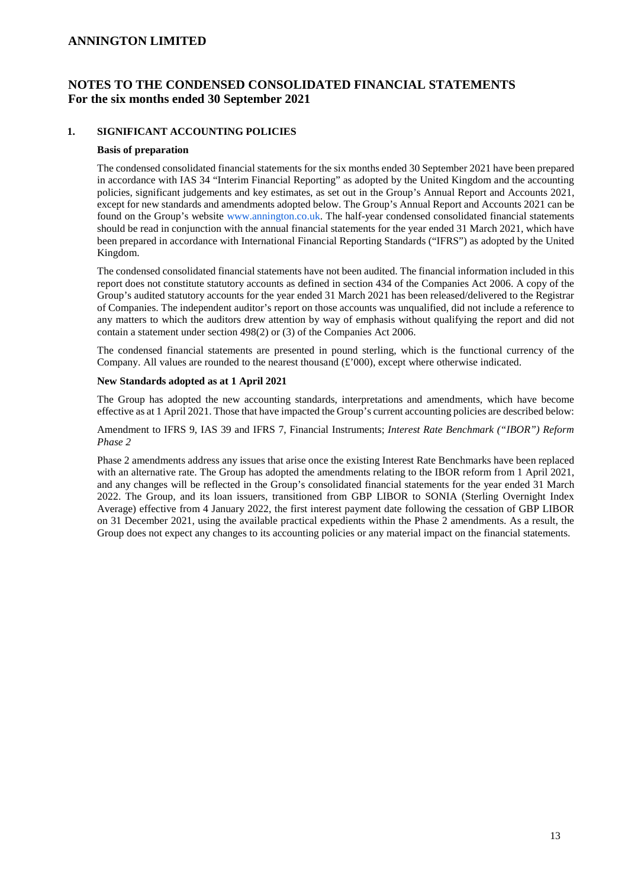# **NOTES TO THE CONDENSED CONSOLIDATED FINANCIAL STATEMENTS For the six months ended 30 September 2021**

#### **1. SIGNIFICANT ACCOUNTING POLICIES**

#### **Basis of preparation**

The condensed consolidated financial statements for the six months ended 30 September 2021 have been prepared in accordance with IAS 34 "Interim Financial Reporting" as adopted by the United Kingdom and the accounting policies, significant judgements and key estimates, as set out in the Group's Annual Report and Accounts 2021, except for new standards and amendments adopted below. The Group's Annual Report and Accounts 2021 can be found on the Group's website www.annington.co.uk. The half-year condensed consolidated financial statements should be read in conjunction with the annual financial statements for the year ended 31 March 2021, which have been prepared in accordance with International Financial Reporting Standards ("IFRS") as adopted by the United Kingdom.

The condensed consolidated financial statements have not been audited. The financial information included in this report does not constitute statutory accounts as defined in section 434 of the Companies Act 2006. A copy of the Group's audited statutory accounts for the year ended 31 March 2021 has been released/delivered to the Registrar of Companies. The independent auditor's report on those accounts was unqualified, did not include a reference to any matters to which the auditors drew attention by way of emphasis without qualifying the report and did not contain a statement under section 498(2) or (3) of the Companies Act 2006.

The condensed financial statements are presented in pound sterling, which is the functional currency of the Company. All values are rounded to the nearest thousand  $(\pounds'000)$ , except where otherwise indicated.

#### **New Standards adopted as at 1 April 2021**

The Group has adopted the new accounting standards, interpretations and amendments, which have become effective as at 1 April 2021. Those that have impacted the Group's current accounting policies are described below:

Amendment to IFRS 9, IAS 39 and IFRS 7, Financial Instruments; *Interest Rate Benchmark ("IBOR") Reform Phase 2* 

Phase 2 amendments address any issues that arise once the existing Interest Rate Benchmarks have been replaced with an alternative rate. The Group has adopted the amendments relating to the IBOR reform from 1 April 2021, and any changes will be reflected in the Group's consolidated financial statements for the year ended 31 March 2022. The Group, and its loan issuers, transitioned from GBP LIBOR to SONIA (Sterling Overnight Index Average) effective from 4 January 2022, the first interest payment date following the cessation of GBP LIBOR on 31 December 2021, using the available practical expedients within the Phase 2 amendments. As a result, the Group does not expect any changes to its accounting policies or any material impact on the financial statements.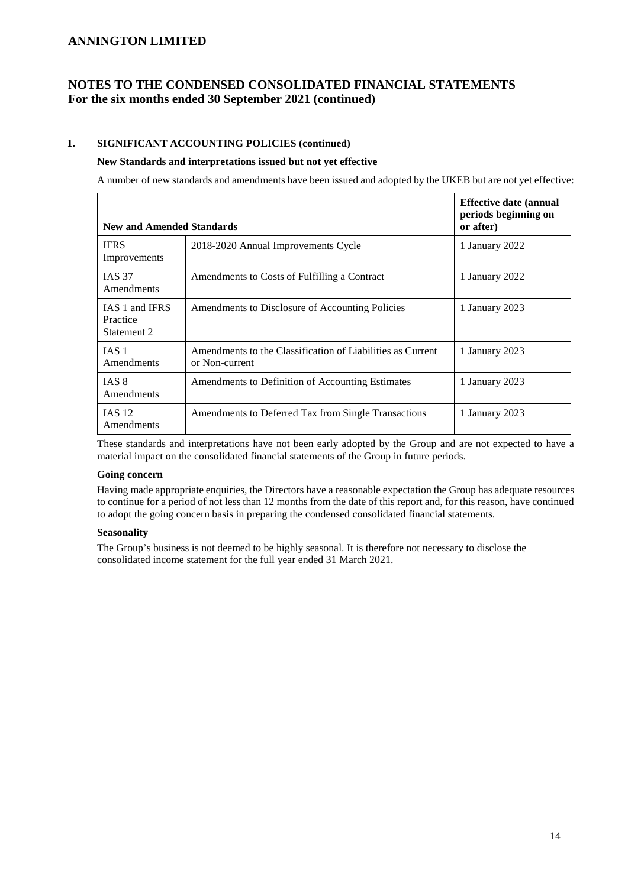# **NOTES TO THE CONDENSED CONSOLIDATED FINANCIAL STATEMENTS For the six months ended 30 September 2021 (continued)**

### **1. SIGNIFICANT ACCOUNTING POLICIES (continued)**

#### **New Standards and interpretations issued but not yet effective**

A number of new standards and amendments have been issued and adopted by the UKEB but are not yet effective:

| <b>New and Amended Standards</b>          |                                                                              | <b>Effective date (annual</b><br>periods beginning on<br>or after) |
|-------------------------------------------|------------------------------------------------------------------------------|--------------------------------------------------------------------|
| <b>IFRS</b><br>Improvements               | 2018-2020 Annual Improvements Cycle                                          | 1 January 2022                                                     |
| <b>IAS 37</b><br>Amendments               | Amendments to Costs of Fulfilling a Contract                                 | 1 January 2022                                                     |
| IAS 1 and IFRS<br>Practice<br>Statement 2 | Amendments to Disclosure of Accounting Policies                              | 1 January 2023                                                     |
| IAS <sub>1</sub><br>Amendments            | Amendments to the Classification of Liabilities as Current<br>or Non-current | 1 January 2023                                                     |
| IAS 8<br>Amendments                       | Amendments to Definition of Accounting Estimates                             | 1 January 2023                                                     |
| <b>IAS 12</b><br>Amendments               | Amendments to Deferred Tax from Single Transactions                          | 1 January 2023                                                     |

These standards and interpretations have not been early adopted by the Group and are not expected to have a material impact on the consolidated financial statements of the Group in future periods.

#### **Going concern**

Having made appropriate enquiries, the Directors have a reasonable expectation the Group has adequate resources to continue for a period of not less than 12 months from the date of this report and, for this reason, have continued to adopt the going concern basis in preparing the condensed consolidated financial statements.

#### **Seasonality**

The Group's business is not deemed to be highly seasonal. It is therefore not necessary to disclose the consolidated income statement for the full year ended 31 March 2021.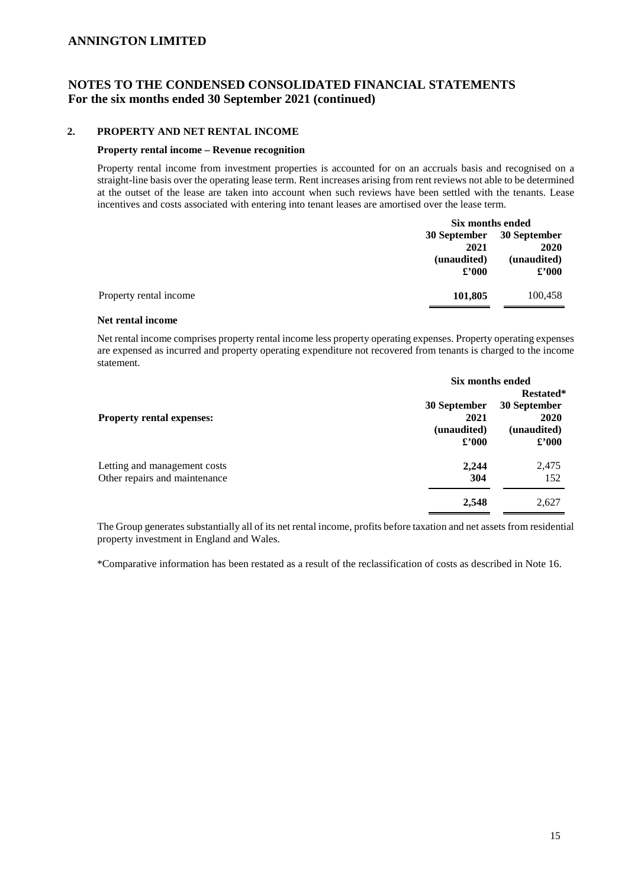## **NOTES TO THE CONDENSED CONSOLIDATED FINANCIAL STATEMENTS For the six months ended 30 September 2021 (continued)**

#### **2. PROPERTY AND NET RENTAL INCOME**

#### **Property rental income – Revenue recognition**

Property rental income from investment properties is accounted for on an accruals basis and recognised on a straight-line basis over the operating lease term. Rent increases arising from rent reviews not able to be determined at the outset of the lease are taken into account when such reviews have been settled with the tenants. Lease incentives and costs associated with entering into tenant leases are amortised over the lease term.

|                        | Six months ended    |                |
|------------------------|---------------------|----------------|
|                        | <b>30 September</b> | 30 September   |
|                        | 2021                | 2020           |
|                        | (unaudited)         | (unaudited)    |
|                        | $\pounds$ '000      | $\pounds$ '000 |
| Property rental income | 101,805             | 100,458        |

#### **Net rental income**

Net rental income comprises property rental income less property operating expenses. Property operating expenses are expensed as incurred and property operating expenditure not recovered from tenants is charged to the income statement.

|                                  | Six months ended |                             |
|----------------------------------|------------------|-----------------------------|
|                                  |                  | Restated*                   |
|                                  | 30 September     | 30 September                |
| <b>Property rental expenses:</b> | 2021             | 2020                        |
|                                  | (unaudited)      | (unaudited)                 |
|                                  | $\pounds$ '000   | $\pmb{\pounds}^{\prime}000$ |
| Letting and management costs     | 2.244            | 2,475                       |
| Other repairs and maintenance    | 304              | 152                         |
|                                  | 2,548            | 2,627                       |

The Group generates substantially all of its net rental income, profits before taxation and net assets from residential property investment in England and Wales.

\*Comparative information has been restated as a result of the reclassification of costs as described in Note 16.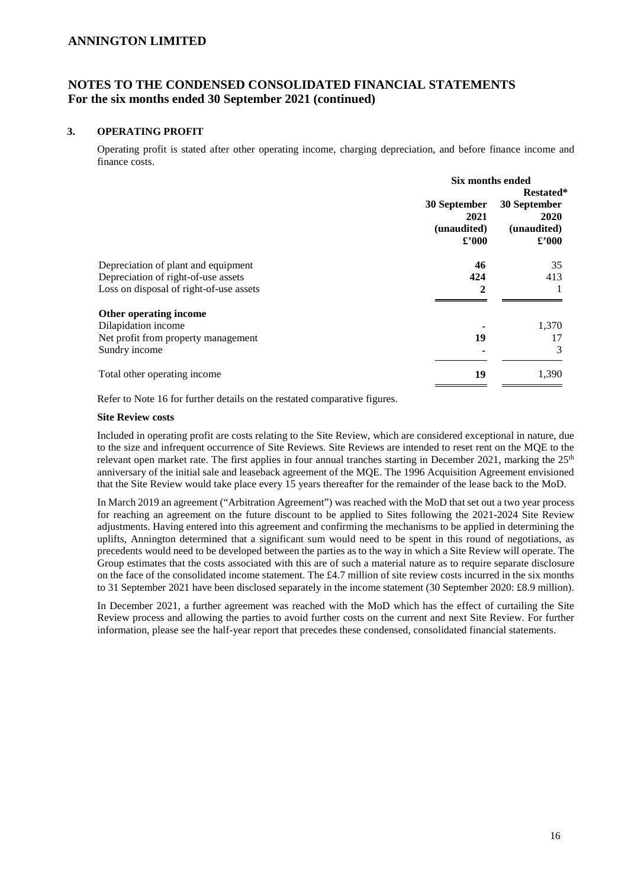# **NOTES TO THE CONDENSED CONSOLIDATED FINANCIAL STATEMENTS For the six months ended 30 September 2021 (continued)**

#### **3. OPERATING PROFIT**

Operating profit is stated after other operating income, charging depreciation, and before finance income and finance costs.

|                                         | Six months ended                                      |                                                       |  |
|-----------------------------------------|-------------------------------------------------------|-------------------------------------------------------|--|
|                                         | <b>Restated*</b>                                      |                                                       |  |
|                                         | 30 September<br>2021<br>(unaudited)<br>$\pounds$ '000 | 30 September<br>2020<br>(unaudited)<br>$\pounds$ '000 |  |
| Depreciation of plant and equipment     | 46                                                    | 35                                                    |  |
| Depreciation of right-of-use assets     | 424                                                   | 413                                                   |  |
| Loss on disposal of right-of-use assets | 2                                                     |                                                       |  |
| Other operating income                  |                                                       |                                                       |  |
| Dilapidation income                     |                                                       | 1,370                                                 |  |
| Net profit from property management     | 19                                                    | 17                                                    |  |
| Sundry income                           |                                                       | 3                                                     |  |
| Total other operating income            | 19                                                    | 1,390                                                 |  |

Refer to Note 16 for further details on the restated comparative figures.

#### **Site Review costs**

Included in operating profit are costs relating to the Site Review, which are considered exceptional in nature, due to the size and infrequent occurrence of Site Reviews. Site Reviews are intended to reset rent on the MQE to the relevant open market rate. The first applies in four annual tranches starting in December 2021, marking the  $25<sup>th</sup>$ anniversary of the initial sale and leaseback agreement of the MQE. The 1996 Acquisition Agreement envisioned that the Site Review would take place every 15 years thereafter for the remainder of the lease back to the MoD.

In March 2019 an agreement ("Arbitration Agreement") was reached with the MoD that set out a two year process for reaching an agreement on the future discount to be applied to Sites following the 2021-2024 Site Review adjustments. Having entered into this agreement and confirming the mechanisms to be applied in determining the uplifts, Annington determined that a significant sum would need to be spent in this round of negotiations, as precedents would need to be developed between the parties as to the way in which a Site Review will operate. The Group estimates that the costs associated with this are of such a material nature as to require separate disclosure on the face of the consolidated income statement. The £4.7 million of site review costs incurred in the six months to 31 September 2021 have been disclosed separately in the income statement (30 September 2020: £8.9 million).

In December 2021, a further agreement was reached with the MoD which has the effect of curtailing the Site Review process and allowing the parties to avoid further costs on the current and next Site Review. For further information, please see the half-year report that precedes these condensed, consolidated financial statements.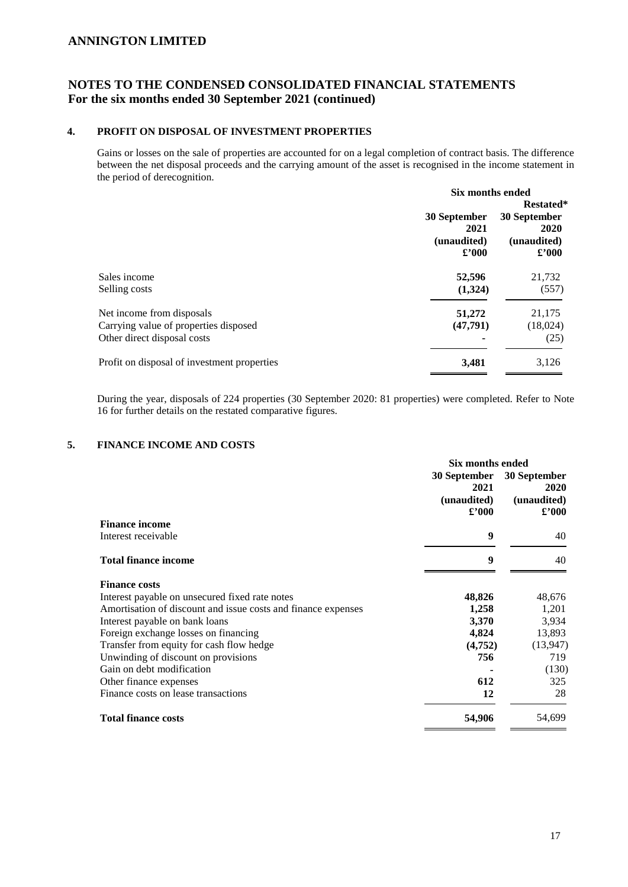# **NOTES TO THE CONDENSED CONSOLIDATED FINANCIAL STATEMENTS For the six months ended 30 September 2021 (continued)**

#### **4. PROFIT ON DISPOSAL OF INVESTMENT PROPERTIES**

Gains or losses on the sale of properties are accounted for on a legal completion of contract basis. The difference between the net disposal proceeds and the carrying amount of the asset is recognised in the income statement in the period of derecognition.

|                                             | Six months ended                                     |                                                       |  |
|---------------------------------------------|------------------------------------------------------|-------------------------------------------------------|--|
|                                             | Restated*                                            |                                                       |  |
|                                             | 30 September<br>2021<br>(unaudited)<br>$\pounds 000$ | 30 September<br>2020<br>(unaudited)<br>$\pounds$ '000 |  |
| Sales income                                | 52,596                                               | 21,732                                                |  |
| Selling costs                               | (1,324)                                              | (557)                                                 |  |
| Net income from disposals                   | 51,272                                               | 21,175                                                |  |
| Carrying value of properties disposed       | (47,791)                                             | (18,024)                                              |  |
| Other direct disposal costs                 |                                                      | (25)                                                  |  |
| Profit on disposal of investment properties | 3,481                                                | 3,126                                                 |  |

During the year, disposals of 224 properties (30 September 2020: 81 properties) were completed. Refer to Note 16 for further details on the restated comparative figures.

## **5. FINANCE INCOME AND COSTS**

|                                                               | Six months ended                                      |                                                             |
|---------------------------------------------------------------|-------------------------------------------------------|-------------------------------------------------------------|
|                                                               | 30 September<br>2021<br>(unaudited)<br>$\pounds$ '000 | 30 September<br><b>2020</b><br>(unaudited)<br>$\pounds 000$ |
| <b>Finance income</b>                                         |                                                       |                                                             |
| Interest receivable                                           | 9                                                     | 40                                                          |
| <b>Total finance income</b>                                   | 9                                                     | 40                                                          |
| <b>Finance costs</b>                                          |                                                       |                                                             |
| Interest payable on unsecured fixed rate notes                | 48,826                                                | 48,676                                                      |
| Amortisation of discount and issue costs and finance expenses | 1,258                                                 | 1,201                                                       |
| Interest payable on bank loans                                | 3,370                                                 | 3,934                                                       |
| Foreign exchange losses on financing                          | 4,824                                                 | 13,893                                                      |
| Transfer from equity for cash flow hedge                      | (4, 752)                                              | (13, 947)                                                   |
| Unwinding of discount on provisions                           | 756                                                   | 719                                                         |
| Gain on debt modification                                     |                                                       | (130)                                                       |
| Other finance expenses                                        | 612                                                   | 325                                                         |
| Finance costs on lease transactions                           | 12                                                    | 28                                                          |
| <b>Total finance costs</b>                                    | 54,906                                                | 54,699                                                      |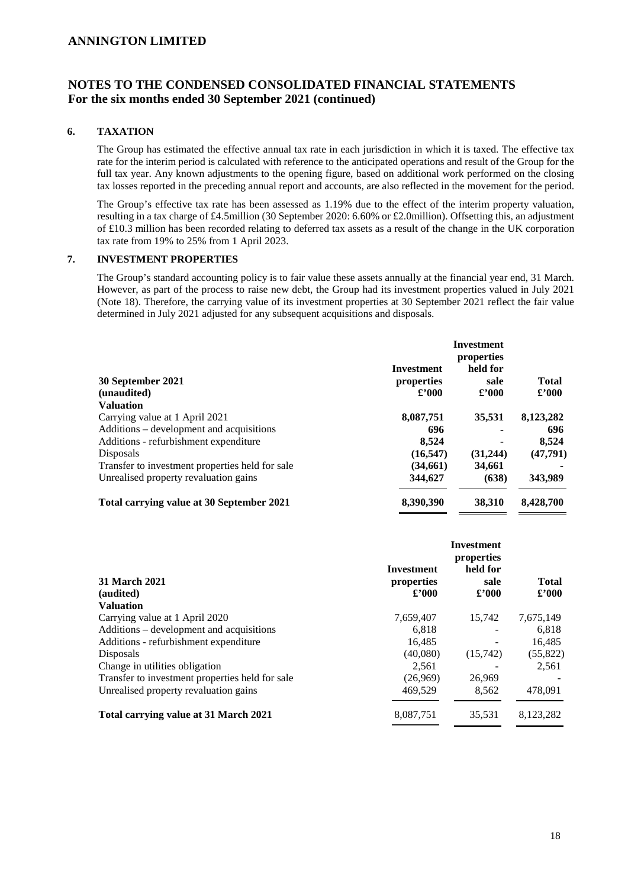## **NOTES TO THE CONDENSED CONSOLIDATED FINANCIAL STATEMENTS For the six months ended 30 September 2021 (continued)**

#### **6. TAXATION**

The Group has estimated the effective annual tax rate in each jurisdiction in which it is taxed. The effective tax rate for the interim period is calculated with reference to the anticipated operations and result of the Group for the full tax year. Any known adjustments to the opening figure, based on additional work performed on the closing tax losses reported in the preceding annual report and accounts, are also reflected in the movement for the period.

The Group's effective tax rate has been assessed as 1.19% due to the effect of the interim property valuation, resulting in a tax charge of £4.5million (30 September 2020: 6.60% or £2.0million). Offsetting this, an adjustment of £10.3 million has been recorded relating to deferred tax assets as a result of the change in the UK corporation tax rate from 19% to 25% from 1 April 2023.

### **7. INVESTMENT PROPERTIES**

The Group's standard accounting policy is to fair value these assets annually at the financial year end, 31 March. However, as part of the process to raise new debt, the Group had its investment properties valued in July 2021 (Note 18). Therefore, the carrying value of its investment properties at 30 September 2021 reflect the fair value determined in July 2021 adjusted for any subsequent acquisitions and disposals.

| 30 September 2021<br>(unaudited)                 | Investment<br>properties<br>$\pounds$ '000 | <b>Investment</b><br>properties<br>held for<br>sale<br>£2000 | <b>Total</b><br>$\pounds$ '000 |
|--------------------------------------------------|--------------------------------------------|--------------------------------------------------------------|--------------------------------|
| <b>Valuation</b>                                 |                                            |                                                              |                                |
| Carrying value at 1 April 2021                   | 8,087,751                                  | 35.531                                                       | 8,123,282                      |
| Additions – development and acquisitions         | 696                                        |                                                              | 696                            |
| Additions - refurbishment expenditure            | 8,524                                      |                                                              | 8,524                          |
| Disposals                                        | (16, 547)                                  | (31,244)                                                     | (47,791)                       |
| Transfer to investment properties held for sale. | (34,661)                                   | 34,661                                                       |                                |
| Unrealised property revaluation gains            | 344,627                                    | (638)                                                        | 343,989                        |
| Total carrying value at 30 September 2021        | 8,390,390                                  | 38.310                                                       | 8,428,700                      |

|                                                 | <b>Investment</b> | <b>Investment</b><br>properties<br>held for |                |
|-------------------------------------------------|-------------------|---------------------------------------------|----------------|
| 31 March 2021                                   | properties        | sale                                        | <b>Total</b>   |
| (audited)                                       | $\pounds$ '000    | $\pounds$ '000                              | $\pounds$ '000 |
| <b>Valuation</b>                                |                   |                                             |                |
| Carrying value at 1 April 2020                  | 7,659,407         | 15.742                                      | 7,675,149      |
| Additions – development and acquisitions        | 6,818             |                                             | 6,818          |
| Additions - refurbishment expenditure           | 16.485            |                                             | 16,485         |
| Disposals                                       | (40,080)          | (15,742)                                    | (55,822)       |
| Change in utilities obligation                  | 2.561             |                                             | 2,561          |
| Transfer to investment properties held for sale | (26,969)          | 26,969                                      |                |
| Unrealised property revaluation gains           | 469,529           | 8,562                                       | 478,091        |
| Total carrying value at 31 March 2021           | 8,087,751         | 35.531                                      | 8.123.282      |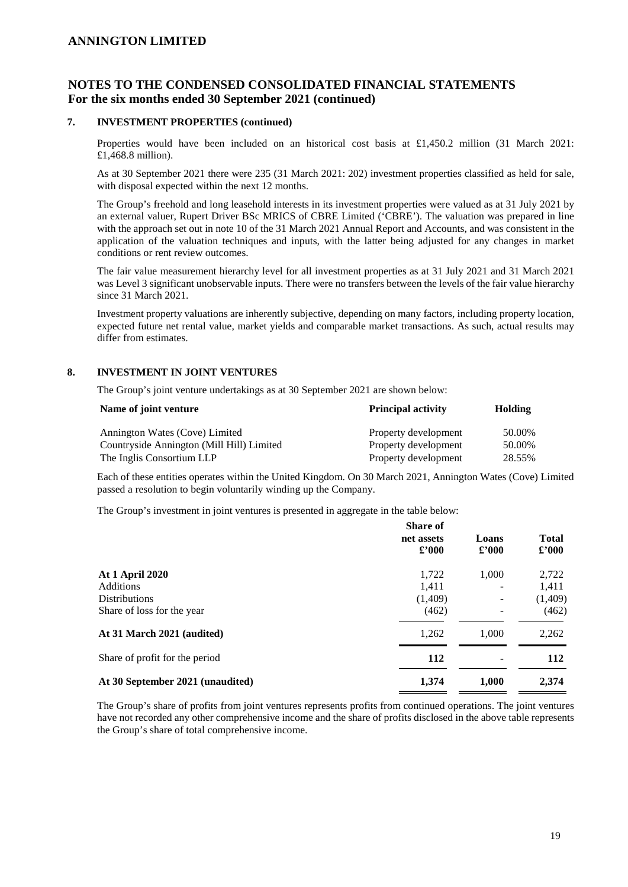# **NOTES TO THE CONDENSED CONSOLIDATED FINANCIAL STATEMENTS For the six months ended 30 September 2021 (continued)**

#### **7. INVESTMENT PROPERTIES (continued)**

Properties would have been included on an historical cost basis at £1,450.2 million (31 March 2021: £1,468.8 million).

As at 30 September 2021 there were 235 (31 March 2021: 202) investment properties classified as held for sale, with disposal expected within the next 12 months.

The Group's freehold and long leasehold interests in its investment properties were valued as at 31 July 2021 by an external valuer, Rupert Driver BSc MRICS of CBRE Limited ('CBRE'). The valuation was prepared in line with the approach set out in note 10 of the 31 March 2021 Annual Report and Accounts, and was consistent in the application of the valuation techniques and inputs, with the latter being adjusted for any changes in market conditions or rent review outcomes.

The fair value measurement hierarchy level for all investment properties as at 31 July 2021 and 31 March 2021 was Level 3 significant unobservable inputs. There were no transfers between the levels of the fair value hierarchy since 31 March 2021.

Investment property valuations are inherently subjective, depending on many factors, including property location, expected future net rental value, market yields and comparable market transactions. As such, actual results may differ from estimates.

#### **8. INVESTMENT IN JOINT VENTURES**

The Group's joint venture undertakings as at 30 September 2021 are shown below:

| Name of joint venture                     | <b>Principal activity</b> | Holding |  |
|-------------------------------------------|---------------------------|---------|--|
| Annington Wates (Cove) Limited            | Property development      | 50.00%  |  |
| Countryside Annington (Mill Hill) Limited | Property development      | 50.00%  |  |
| The Inglis Consortium LLP                 | Property development      | 28.55%  |  |

Each of these entities operates within the United Kingdom. On 30 March 2021, Annington Wates (Cove) Limited passed a resolution to begin voluntarily winding up the Company.

The Group's investment in joint ventures is presented in aggregate in the table below:

|                                  | <b>Share of</b><br>net assets<br>$\pounds$ '000 | Loans<br>$\pounds$ '000 | <b>Total</b><br>$\pounds$ '000 |
|----------------------------------|-------------------------------------------------|-------------------------|--------------------------------|
| <b>At 1 April 2020</b>           | 1,722                                           | 1,000                   | 2,722                          |
| <b>Additions</b>                 | 1.411                                           |                         | 1,411                          |
| <b>Distributions</b>             | (1,409)                                         | ۰.                      | (1,409)                        |
| Share of loss for the year       | (462)                                           |                         | (462)                          |
| At 31 March 2021 (audited)       | 1,262                                           | 1.000                   | 2,262                          |
| Share of profit for the period   | 112                                             |                         | 112                            |
| At 30 September 2021 (unaudited) | 1,374                                           | 1,000                   | 2,374                          |

The Group's share of profits from joint ventures represents profits from continued operations. The joint ventures have not recorded any other comprehensive income and the share of profits disclosed in the above table represents the Group's share of total comprehensive income.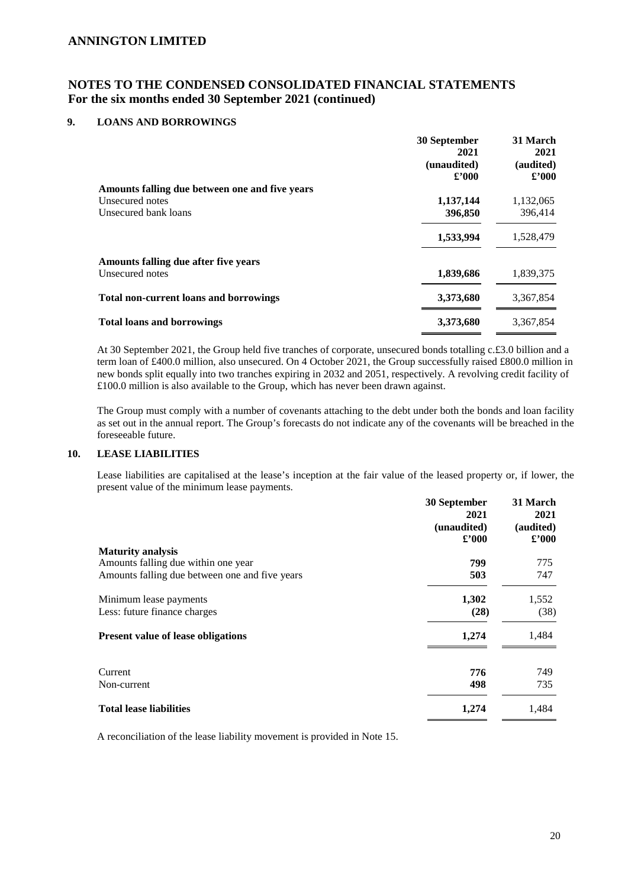# **NOTES TO THE CONDENSED CONSOLIDATED FINANCIAL STATEMENTS For the six months ended 30 September 2021 (continued)**

#### **9. LOANS AND BORROWINGS**

|                                                | 30 September<br>2021<br>(unaudited)<br>$\pounds$ '000 | 31 March<br>2021<br>(audited)<br>$\pounds$ '000 |
|------------------------------------------------|-------------------------------------------------------|-------------------------------------------------|
| Amounts falling due between one and five years |                                                       |                                                 |
| Unsecured notes                                | 1,137,144                                             | 1,132,065                                       |
| Unsecured bank loans                           | 396,850                                               | 396,414                                         |
|                                                | 1,533,994                                             | 1,528,479                                       |
| Amounts falling due after five years           |                                                       |                                                 |
| Unsecured notes                                | 1,839,686                                             | 1,839,375                                       |
| <b>Total non-current loans and borrowings</b>  | 3,373,680                                             | 3,367,854                                       |
| <b>Total loans and borrowings</b>              | 3,373,680                                             | 3,367,854                                       |

At 30 September 2021, the Group held five tranches of corporate, unsecured bonds totalling c.£3.0 billion and a term loan of £400.0 million, also unsecured. On 4 October 2021, the Group successfully raised £800.0 million in new bonds split equally into two tranches expiring in 2032 and 2051, respectively. A revolving credit facility of £100.0 million is also available to the Group, which has never been drawn against.

The Group must comply with a number of covenants attaching to the debt under both the bonds and loan facility as set out in the annual report. The Group's forecasts do not indicate any of the covenants will be breached in the foreseeable future.

#### **10. LEASE LIABILITIES**

Lease liabilities are capitalised at the lease's inception at the fair value of the leased property or, if lower, the present value of the minimum lease payments.

|                                                | 30 September<br>2021<br>(unaudited)<br>$\pounds$ '000 | 31 March<br>2021<br>(audited)<br>$\pounds$ '000 |
|------------------------------------------------|-------------------------------------------------------|-------------------------------------------------|
| <b>Maturity analysis</b>                       |                                                       |                                                 |
| Amounts falling due within one year            | 799                                                   | 775                                             |
| Amounts falling due between one and five years | 503                                                   | 747                                             |
| Minimum lease payments                         | 1,302                                                 | 1,552                                           |
| Less: future finance charges                   | (28)                                                  | (38)                                            |
| <b>Present value of lease obligations</b>      | 1,274                                                 | 1,484                                           |
| Current                                        | 776                                                   | 749                                             |
| Non-current                                    | 498                                                   | 735                                             |
| <b>Total lease liabilities</b>                 | 1,274                                                 | 1,484                                           |

A reconciliation of the lease liability movement is provided in Note 15.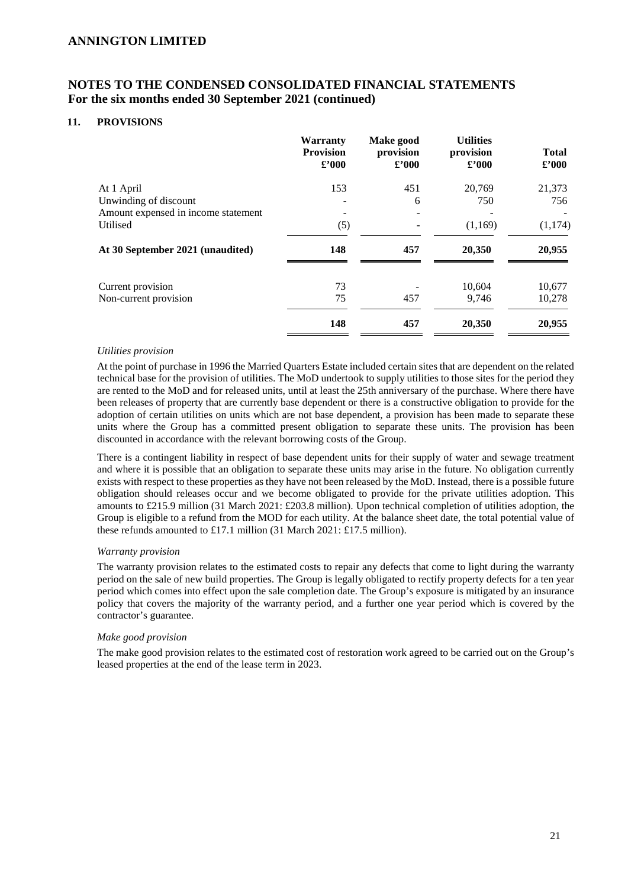# **NOTES TO THE CONDENSED CONSOLIDATED FINANCIAL STATEMENTS For the six months ended 30 September 2021 (continued)**

#### **11. PROVISIONS**

|                                     | Warranty<br><b>Provision</b><br>$\pounds$ '000 | Make good<br>provision<br>$\pounds$ '000 | <b>Utilities</b><br>provision<br>$\pounds$ '000 | <b>Total</b><br>$\pounds$ '000 |
|-------------------------------------|------------------------------------------------|------------------------------------------|-------------------------------------------------|--------------------------------|
| At 1 April                          | 153                                            | 451                                      | 20,769                                          | 21,373                         |
| Unwinding of discount               |                                                | 6                                        | 750                                             | 756                            |
| Amount expensed in income statement |                                                |                                          |                                                 |                                |
| Utilised                            | (5)                                            |                                          | (1,169)                                         | (1,174)                        |
| At 30 September 2021 (unaudited)    | 148                                            | 457                                      | 20,350                                          | 20,955                         |
| Current provision                   | 73                                             |                                          | 10,604                                          | 10,677                         |
| Non-current provision               | 75                                             | 457                                      | 9,746                                           | 10,278                         |
|                                     | 148                                            | 457                                      | 20,350                                          | 20,955                         |

#### *Utilities provision*

At the point of purchase in 1996 the Married Quarters Estate included certain sites that are dependent on the related technical base for the provision of utilities. The MoD undertook to supply utilities to those sites for the period they are rented to the MoD and for released units, until at least the 25th anniversary of the purchase. Where there have been releases of property that are currently base dependent or there is a constructive obligation to provide for the adoption of certain utilities on units which are not base dependent, a provision has been made to separate these units where the Group has a committed present obligation to separate these units. The provision has been discounted in accordance with the relevant borrowing costs of the Group.

There is a contingent liability in respect of base dependent units for their supply of water and sewage treatment and where it is possible that an obligation to separate these units may arise in the future. No obligation currently exists with respect to these properties as they have not been released by the MoD. Instead, there is a possible future obligation should releases occur and we become obligated to provide for the private utilities adoption. This amounts to £215.9 million (31 March 2021: £203.8 million). Upon technical completion of utilities adoption, the Group is eligible to a refund from the MOD for each utility. At the balance sheet date, the total potential value of these refunds amounted to £17.1 million (31 March 2021: £17.5 million).

#### *Warranty provision*

The warranty provision relates to the estimated costs to repair any defects that come to light during the warranty period on the sale of new build properties. The Group is legally obligated to rectify property defects for a ten year period which comes into effect upon the sale completion date. The Group's exposure is mitigated by an insurance policy that covers the majority of the warranty period, and a further one year period which is covered by the contractor's guarantee.

#### *Make good provision*

The make good provision relates to the estimated cost of restoration work agreed to be carried out on the Group's leased properties at the end of the lease term in 2023.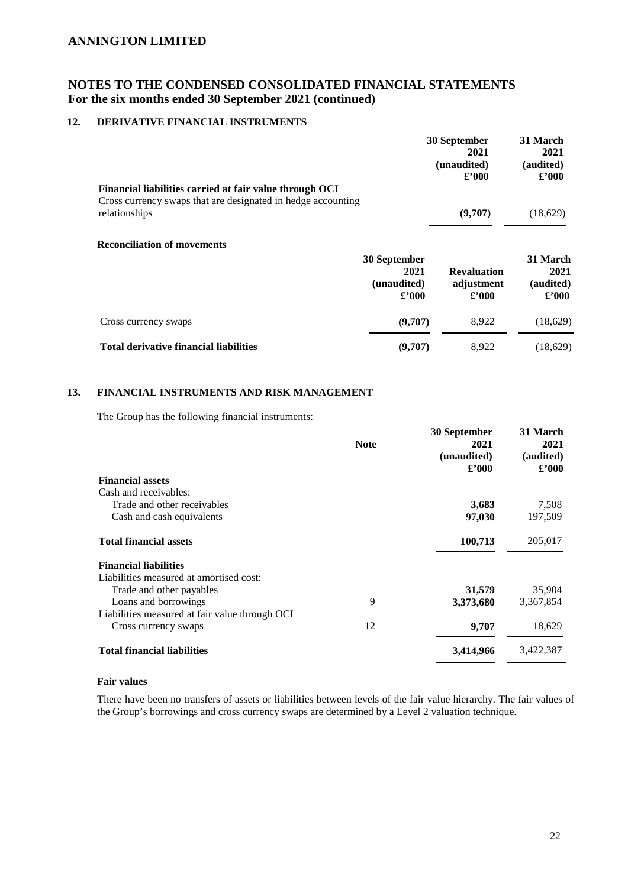# **NOTES TO THE CONDENSED CONSOLIDATED FINANCIAL STATEMENTS For the six months ended 30 September 2021 (continued)**

### **12. DERIVATIVE FINANCIAL INSTRUMENTS**

|                                                                               | 30 September<br>2021<br>(unaudited)<br>$\pounds$ '000 | 31 March<br>2021<br>(audited)<br>$\pounds$ '000 |
|-------------------------------------------------------------------------------|-------------------------------------------------------|-------------------------------------------------|
| Financial liabilities carried at fair value through OCI                       |                                                       |                                                 |
| Cross currency swaps that are designated in hedge accounting<br>relationships | (9,707)                                               | (18,629)                                        |
| <b>Reconciliation of movements</b>                                            |                                                       |                                                 |
| 30 September                                                                  |                                                       | 31 March                                        |
| 2021<br>(unaudited)<br>$\pounds$ '000                                         | <b>Revaluation</b><br>adjustment<br>$\pounds 000$     | 2021<br>(audited)<br>$\pounds$ '000             |
| (9,707)<br>Cross currency swaps                                               | 8,922                                                 | (18,629)                                        |
| <b>Total derivative financial liabilities</b><br>(9,707)                      | 8,922                                                 | (18,629)                                        |

### **13. FINANCIAL INSTRUMENTS AND RISK MANAGEMENT**

The Group has the following financial instruments:

|                                                | <b>Note</b> | 30 September<br>2021<br>(unaudited)<br>$\pounds 000$ | 31 March<br>2021<br>(audited)<br>$\pmb{\pounds}^{\pmb{\cdot}} 000$ |
|------------------------------------------------|-------------|------------------------------------------------------|--------------------------------------------------------------------|
| <b>Financial assets</b>                        |             |                                                      |                                                                    |
| Cash and receivables:                          |             |                                                      |                                                                    |
| Trade and other receivables                    |             | 3,683                                                | 7,508                                                              |
| Cash and cash equivalents                      |             | 97,030                                               | 197,509                                                            |
| <b>Total financial assets</b>                  |             | 100,713                                              | 205,017                                                            |
| <b>Financial liabilities</b>                   |             |                                                      |                                                                    |
| Liabilities measured at amortised cost:        |             |                                                      |                                                                    |
| Trade and other payables                       |             | 31,579                                               | 35,904                                                             |
| Loans and borrowings                           | 9           | 3,373,680                                            | 3,367,854                                                          |
| Liabilities measured at fair value through OCI |             |                                                      |                                                                    |
| Cross currency swaps                           | 12          | 9,707                                                | 18,629                                                             |
| <b>Total financial liabilities</b>             |             | 3,414,966                                            | 3,422,387                                                          |
|                                                |             |                                                      |                                                                    |

### **Fair values**

There have been no transfers of assets or liabilities between levels of the fair value hierarchy. The fair values of the Group's borrowings and cross currency swaps are determined by a Level 2 valuation technique.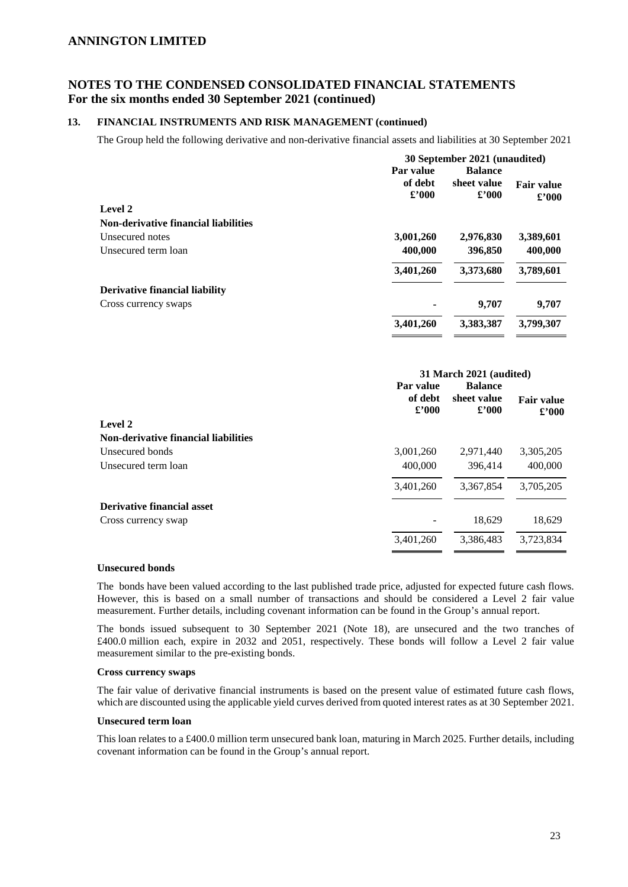# **NOTES TO THE CONDENSED CONSOLIDATED FINANCIAL STATEMENTS For the six months ended 30 September 2021 (continued)**

#### **13. FINANCIAL INSTRUMENTS AND RISK MANAGEMENT (continued)**

The Group held the following derivative and non-derivative financial assets and liabilities at 30 September 2021

|                                             | 30 September 2021 (unaudited) |                |                   |  |
|---------------------------------------------|-------------------------------|----------------|-------------------|--|
|                                             | Par value                     | <b>Balance</b> |                   |  |
|                                             | of debt                       | sheet value    | <b>Fair value</b> |  |
|                                             | $\pounds$ '000                | $\pounds$ '000 | $\pounds$ '000    |  |
| Level 2                                     |                               |                |                   |  |
| <b>Non-derivative financial liabilities</b> |                               |                |                   |  |
| Unsecured notes                             | 3,001,260                     | 2,976,830      | 3,389,601         |  |
| Unsecured term loan                         | 400,000                       | 396,850        | 400,000           |  |
|                                             | 3,401,260                     | 3,373,680      | 3,789,601         |  |
| <b>Derivative financial liability</b>       |                               |                |                   |  |
| Cross currency swaps                        |                               | 9.707          | 9,707             |  |
|                                             | 3,401,260                     | 3,383,387      | 3,799,307         |  |
|                                             |                               |                |                   |  |

| 31 March 2021 (audited)   |                      |                                     |  |
|---------------------------|----------------------|-------------------------------------|--|
| Par value                 | <b>Balance</b>       |                                     |  |
| of debt<br>$\pounds$ '000 | sheet value<br>£2000 | <b>Fair value</b><br>$\pounds$ '000 |  |
|                           |                      |                                     |  |
|                           |                      |                                     |  |
| 3,001,260                 | 2,971,440            | 3,305,205                           |  |
| 400,000                   | 396,414              | 400,000                             |  |
| 3,401,260                 | 3,367,854            | 3,705,205                           |  |
|                           |                      |                                     |  |
|                           | 18,629               | 18,629                              |  |
| 3,401,260                 | 3,386,483            | 3,723,834                           |  |
|                           |                      |                                     |  |

#### **Unsecured bonds**

The bonds have been valued according to the last published trade price, adjusted for expected future cash flows. However, this is based on a small number of transactions and should be considered a Level 2 fair value measurement. Further details, including covenant information can be found in the Group's annual report.

The bonds issued subsequent to 30 September 2021 (Note 18), are unsecured and the two tranches of £400.0 million each, expire in 2032 and 2051, respectively. These bonds will follow a Level 2 fair value measurement similar to the pre-existing bonds.

#### **Cross currency swaps**

The fair value of derivative financial instruments is based on the present value of estimated future cash flows, which are discounted using the applicable yield curves derived from quoted interest rates as at 30 September 2021.

#### **Unsecured term loan**

This loan relates to a £400.0 million term unsecured bank loan, maturing in March 2025. Further details, including covenant information can be found in the Group's annual report.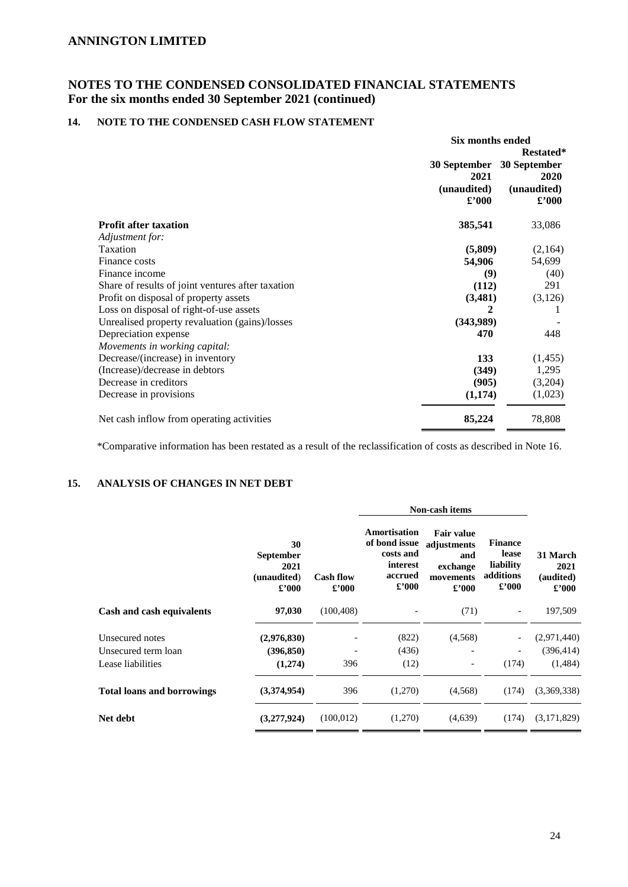# **NOTES TO THE CONDENSED CONSOLIDATED FINANCIAL STATEMENTS For the six months ended 30 September 2021 (continued)**

## **14. NOTE TO THE CONDENSED CASH FLOW STATEMENT**

|                                                   | Six months ended |                      |  |
|---------------------------------------------------|------------------|----------------------|--|
|                                                   | 30 September     |                      |  |
|                                                   | 2021             | 30 September<br>2020 |  |
|                                                   | (unaudited)      | (unaudited)          |  |
|                                                   | $\pounds$ '000   | $\pounds$ '000       |  |
| <b>Profit after taxation</b>                      | 385,541          | 33,086               |  |
| Adjustment for:                                   |                  |                      |  |
| Taxation                                          | (5,809)          | (2,164)              |  |
| Finance costs                                     | 54,906           | 54,699               |  |
| Finance income                                    | (9)              | (40)                 |  |
| Share of results of joint ventures after taxation | (112)            | 291                  |  |
| Profit on disposal of property assets             | (3,481)          | (3,126)              |  |
| Loss on disposal of right-of-use assets           | 2                |                      |  |
| Unrealised property revaluation (gains)/losses    | (343,989)        |                      |  |
| Depreciation expense                              | 470              | 448                  |  |
| Movements in working capital:                     |                  |                      |  |
| Decrease/(increase) in inventory                  | 133              | (1, 455)             |  |
| (Increase)/decrease in debtors                    | (349)            | 1,295                |  |
| Decrease in creditors                             | (905)            | (3,204)              |  |
| Decrease in provisions                            | (1,174)          | (1,023)              |  |
| Net cash inflow from operating activities         | 85,224           | 78,808               |  |

\*Comparative information has been restated as a result of the reclassification of costs as described in Note 16.

# **15. ANALYSIS OF CHANGES IN NET DEBT**

|                                   |                                                                 |                           | Non-cash items                                                                      |                                                                                    |                                                                     |                                                 |
|-----------------------------------|-----------------------------------------------------------------|---------------------------|-------------------------------------------------------------------------------------|------------------------------------------------------------------------------------|---------------------------------------------------------------------|-------------------------------------------------|
|                                   | 30<br><b>September</b><br>2021<br>(unaudited)<br>$\pounds$ '000 | <b>Cash flow</b><br>£'000 | Amortisation<br>of bond issue<br>costs and<br>interest<br>accrued<br>$\pounds$ '000 | <b>Fair value</b><br>adjustments<br>and<br>exchange<br>movements<br>$\pounds$ '000 | <b>Finance</b><br>lease<br>liability<br>additions<br>$\pounds$ '000 | 31 March<br>2021<br>(audited)<br>$\pounds$ '000 |
| Cash and cash equivalents         | 97,030                                                          | (100, 408)                |                                                                                     | (71)                                                                               | $\overline{\phantom{a}}$                                            | 197,509                                         |
| Unsecured notes                   | (2,976,830)                                                     |                           | (822)                                                                               | (4,568)                                                                            | $\overline{\phantom{a}}$                                            | (2,971,440)                                     |
| Unsecured term loan               | (396, 850)                                                      |                           | (436)                                                                               |                                                                                    | $\overline{\phantom{a}}$                                            | (396, 414)                                      |
| Lease liabilities                 | (1,274)                                                         | 396                       | (12)                                                                                |                                                                                    | (174)                                                               | (1,484)                                         |
| <b>Total loans and borrowings</b> | (3,374,954)                                                     | 396                       | (1,270)                                                                             | (4,568)                                                                            | (174)                                                               | (3,369,338)                                     |
| Net debt                          | (3,277,924)                                                     | (100, 012)                | (1,270)                                                                             | (4,639)                                                                            | (174)                                                               | (3,171,829)                                     |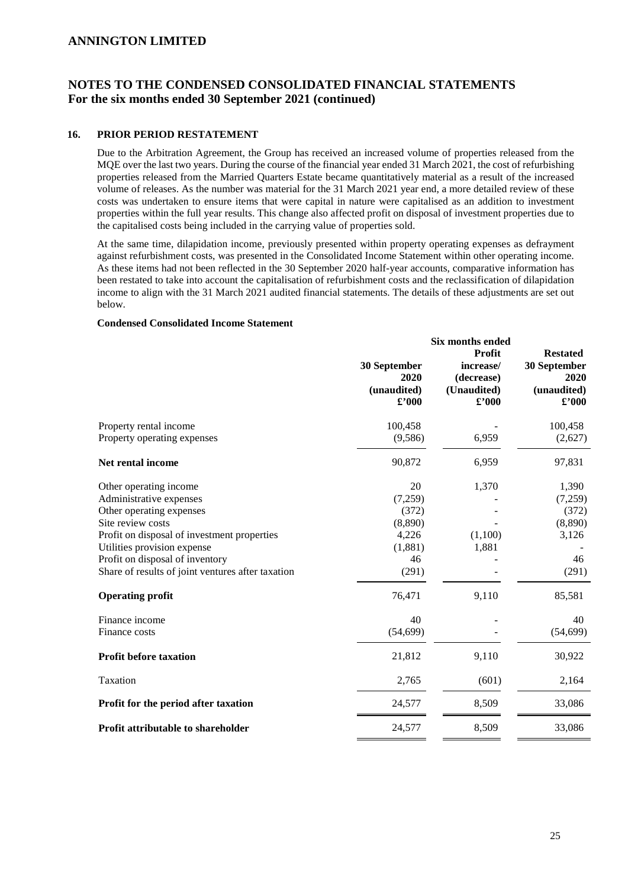# **NOTES TO THE CONDENSED CONSOLIDATED FINANCIAL STATEMENTS For the six months ended 30 September 2021 (continued)**

#### **16. PRIOR PERIOD RESTATEMENT**

Due to the Arbitration Agreement, the Group has received an increased volume of properties released from the MQE over the last two years. During the course of the financial year ended 31 March 2021, the cost of refurbishing properties released from the Married Quarters Estate became quantitatively material as a result of the increased volume of releases. As the number was material for the 31 March 2021 year end, a more detailed review of these costs was undertaken to ensure items that were capital in nature were capitalised as an addition to investment properties within the full year results. This change also affected profit on disposal of investment properties due to the capitalised costs being included in the carrying value of properties sold.

At the same time, dilapidation income, previously presented within property operating expenses as defrayment against refurbishment costs, was presented in the Consolidated Income Statement within other operating income. As these items had not been reflected in the 30 September 2020 half-year accounts, comparative information has been restated to take into account the capitalisation of refurbishment costs and the reclassification of dilapidation income to align with the 31 March 2021 audited financial statements. The details of these adjustments are set out below.

**Six months ended** 

#### **Condensed Consolidated Income Statement**

|                                                       | 30 September<br>2020<br>(unaudited)<br>$\pounds$ '000 | эіл шошшэ списи<br><b>Profit</b><br>increase/<br>(decrease)<br>(Unaudited)<br>$\pounds$ '000 | <b>Restated</b><br>30 September<br>2020<br>(unaudited)<br>$\pmb{\pounds}^{\prime}000$ |
|-------------------------------------------------------|-------------------------------------------------------|----------------------------------------------------------------------------------------------|---------------------------------------------------------------------------------------|
| Property rental income<br>Property operating expenses | 100,458<br>(9,586)                                    | 6,959                                                                                        | 100,458<br>(2,627)                                                                    |
|                                                       |                                                       |                                                                                              |                                                                                       |
| Net rental income                                     | 90,872                                                | 6,959                                                                                        | 97,831                                                                                |
| Other operating income                                | 20                                                    | 1,370                                                                                        | 1,390                                                                                 |
| Administrative expenses                               | (7,259)                                               |                                                                                              | (7,259)                                                                               |
| Other operating expenses                              | (372)                                                 |                                                                                              | (372)                                                                                 |
| Site review costs                                     | (8,890)                                               |                                                                                              | (8,890)                                                                               |
| Profit on disposal of investment properties           | 4,226                                                 | (1,100)                                                                                      | 3,126                                                                                 |
| Utilities provision expense                           | (1,881)                                               | 1,881                                                                                        |                                                                                       |
| Profit on disposal of inventory                       | 46                                                    |                                                                                              | 46                                                                                    |
| Share of results of joint ventures after taxation     | (291)                                                 |                                                                                              | (291)                                                                                 |
| <b>Operating profit</b>                               | 76,471                                                | 9,110                                                                                        | 85,581                                                                                |
| Finance income                                        | 40                                                    |                                                                                              | 40                                                                                    |
| Finance costs                                         | (54, 699)                                             |                                                                                              | (54, 699)                                                                             |
| <b>Profit before taxation</b>                         | 21,812                                                | 9,110                                                                                        | 30,922                                                                                |
| Taxation                                              | 2,765                                                 | (601)                                                                                        | 2,164                                                                                 |
| Profit for the period after taxation                  | 24,577                                                | 8,509                                                                                        | 33,086                                                                                |
| Profit attributable to shareholder                    | 24,577                                                | 8,509                                                                                        | 33,086                                                                                |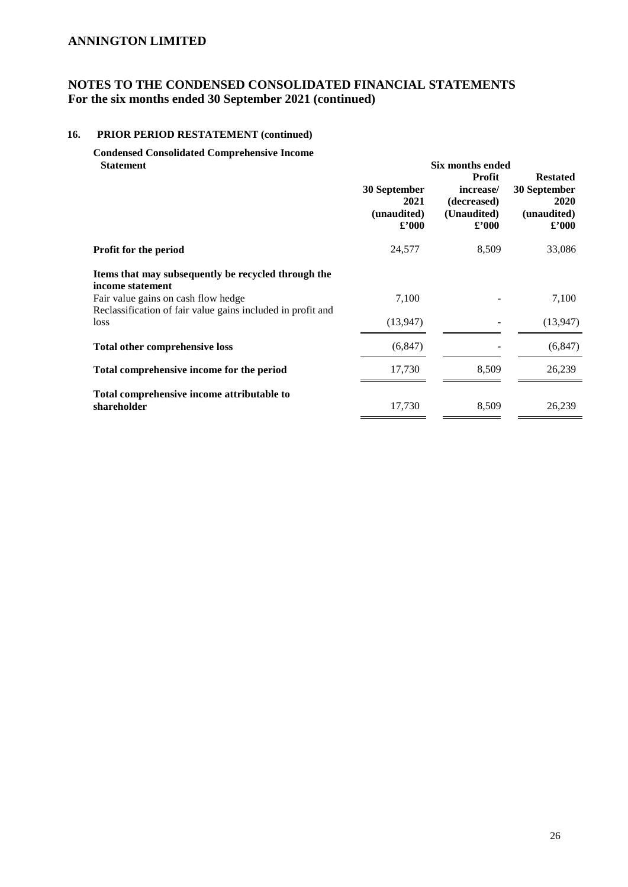# **NOTES TO THE CONDENSED CONSOLIDATED FINANCIAL STATEMENTS For the six months ended 30 September 2021 (continued)**

### **16. PRIOR PERIOD RESTATEMENT (continued)**

**Condensed Consolidated Comprehensive Income Statement** Six months ended **Six months ended** 

|                                                                                                                                                                               | 30 September<br>2021<br>(unaudited)<br>$\pounds$ '000 | <b>Profit</b><br>increase/<br>(decreased)<br>(Unaudited)<br>$\pounds$ '000 | <b>Restated</b><br>30 September<br>2020<br>(unaudited)<br>$\pounds$ '000 |
|-------------------------------------------------------------------------------------------------------------------------------------------------------------------------------|-------------------------------------------------------|----------------------------------------------------------------------------|--------------------------------------------------------------------------|
| Profit for the period                                                                                                                                                         | 24,577                                                | 8,509                                                                      | 33,086                                                                   |
| Items that may subsequently be recycled through the<br>income statement<br>Fair value gains on cash flow hedge<br>Reclassification of fair value gains included in profit and | 7,100                                                 |                                                                            | 7,100                                                                    |
| loss                                                                                                                                                                          | (13, 947)                                             |                                                                            | (13,947)                                                                 |
| <b>Total other comprehensive loss</b>                                                                                                                                         | (6, 847)                                              |                                                                            | (6, 847)                                                                 |
| Total comprehensive income for the period                                                                                                                                     | 17,730                                                | 8,509                                                                      | 26,239                                                                   |
| Total comprehensive income attributable to<br>shareholder                                                                                                                     | 17,730                                                | 8,509                                                                      | 26,239                                                                   |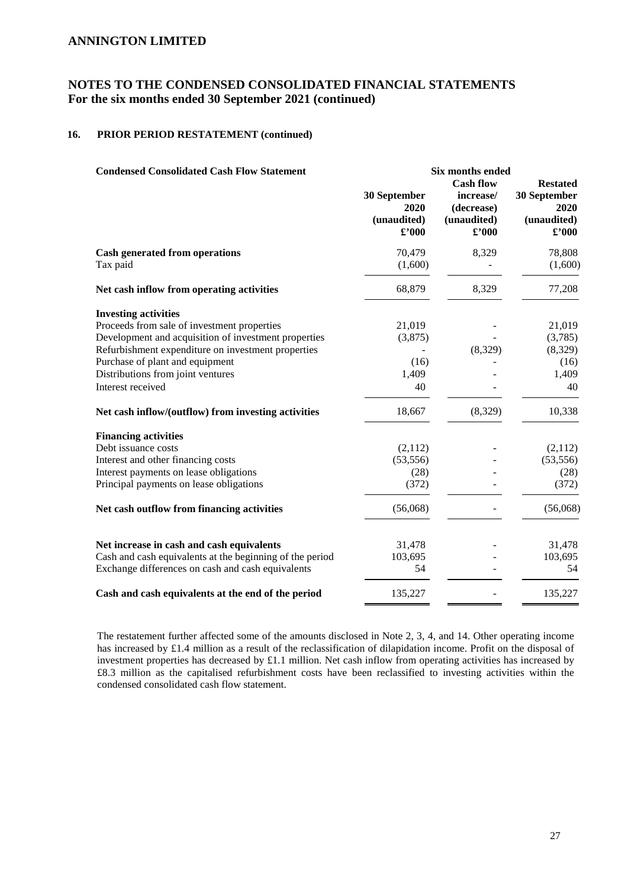# **NOTES TO THE CONDENSED CONSOLIDATED FINANCIAL STATEMENTS For the six months ended 30 September 2021 (continued)**

### **16. PRIOR PERIOD RESTATEMENT (continued)**

| <b>Condensed Consolidated Cash Flow Statement</b>        | Six months ended                                      |                                                                              |                                                                          |  |
|----------------------------------------------------------|-------------------------------------------------------|------------------------------------------------------------------------------|--------------------------------------------------------------------------|--|
|                                                          | 30 September<br>2020<br>(unaudited)<br>$\pounds$ '000 | <b>Cash flow</b><br>increase/<br>(decrease)<br>(unaudited)<br>$\pounds$ '000 | <b>Restated</b><br>30 September<br>2020<br>(unaudited)<br>$\pounds$ '000 |  |
| <b>Cash generated from operations</b>                    | 70,479                                                | 8,329                                                                        | 78,808                                                                   |  |
| Tax paid                                                 | (1,600)                                               |                                                                              | (1,600)                                                                  |  |
| Net cash inflow from operating activities                | 68,879                                                | 8,329                                                                        | 77,208                                                                   |  |
| <b>Investing activities</b>                              |                                                       |                                                                              |                                                                          |  |
| Proceeds from sale of investment properties              | 21,019                                                |                                                                              | 21,019                                                                   |  |
| Development and acquisition of investment properties     | (3,875)                                               |                                                                              | (3,785)                                                                  |  |
| Refurbishment expenditure on investment properties       |                                                       | (8,329)                                                                      | (8,329)                                                                  |  |
| Purchase of plant and equipment                          | (16)                                                  |                                                                              | (16)                                                                     |  |
| Distributions from joint ventures                        | 1,409                                                 |                                                                              | 1,409                                                                    |  |
| Interest received                                        | 40                                                    |                                                                              | 40                                                                       |  |
| Net cash inflow/(outflow) from investing activities      | 18,667                                                | (8,329)                                                                      | 10,338                                                                   |  |
| <b>Financing activities</b>                              |                                                       |                                                                              |                                                                          |  |
| Debt issuance costs                                      | (2,112)                                               |                                                                              | (2,112)                                                                  |  |
| Interest and other financing costs                       | (53, 556)                                             |                                                                              | (53, 556)                                                                |  |
| Interest payments on lease obligations                   | (28)                                                  |                                                                              | (28)                                                                     |  |
| Principal payments on lease obligations                  | (372)                                                 |                                                                              | (372)                                                                    |  |
| Net cash outflow from financing activities               | (56,068)                                              |                                                                              | (56,068)                                                                 |  |
| Net increase in cash and cash equivalents                | 31,478                                                |                                                                              | 31,478                                                                   |  |
| Cash and cash equivalents at the beginning of the period | 103,695                                               |                                                                              | 103,695                                                                  |  |
| Exchange differences on cash and cash equivalents        | 54                                                    |                                                                              | 54                                                                       |  |
| Cash and cash equivalents at the end of the period       | 135,227                                               |                                                                              | 135,227                                                                  |  |

The restatement further affected some of the amounts disclosed in Note 2, 3, 4, and 14. Other operating income has increased by £1.4 million as a result of the reclassification of dilapidation income. Profit on the disposal of investment properties has decreased by £1.1 million. Net cash inflow from operating activities has increased by £8.3 million as the capitalised refurbishment costs have been reclassified to investing activities within the condensed consolidated cash flow statement.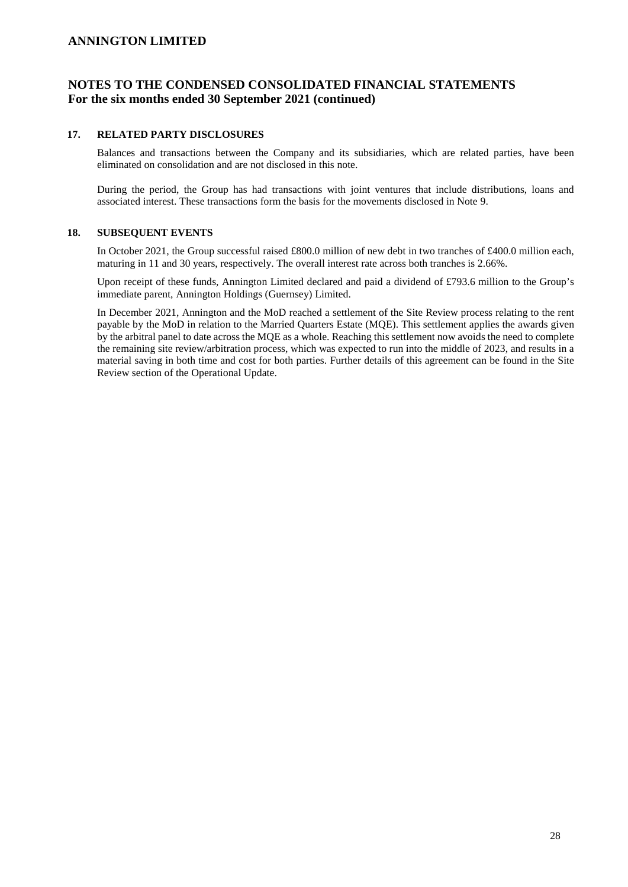# **NOTES TO THE CONDENSED CONSOLIDATED FINANCIAL STATEMENTS For the six months ended 30 September 2021 (continued)**

#### **17. RELATED PARTY DISCLOSURES**

Balances and transactions between the Company and its subsidiaries, which are related parties, have been eliminated on consolidation and are not disclosed in this note.

During the period, the Group has had transactions with joint ventures that include distributions, loans and associated interest. These transactions form the basis for the movements disclosed in Note 9.

#### **18. SUBSEQUENT EVENTS**

In October 2021, the Group successful raised £800.0 million of new debt in two tranches of £400.0 million each, maturing in 11 and 30 years, respectively. The overall interest rate across both tranches is 2.66%.

Upon receipt of these funds, Annington Limited declared and paid a dividend of £793.6 million to the Group's immediate parent, Annington Holdings (Guernsey) Limited.

In December 2021, Annington and the MoD reached a settlement of the Site Review process relating to the rent payable by the MoD in relation to the Married Quarters Estate (MQE). This settlement applies the awards given by the arbitral panel to date across the MQE as a whole. Reaching this settlement now avoids the need to complete the remaining site review/arbitration process, which was expected to run into the middle of 2023, and results in a material saving in both time and cost for both parties. Further details of this agreement can be found in the Site Review section of the Operational Update.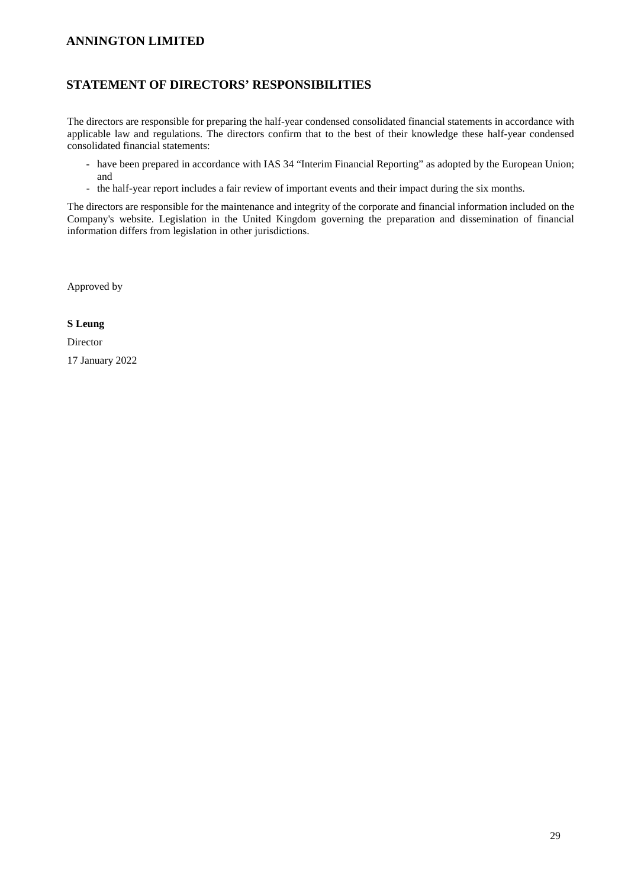### **STATEMENT OF DIRECTORS' RESPONSIBILITIES**

The directors are responsible for preparing the half-year condensed consolidated financial statements in accordance with applicable law and regulations. The directors confirm that to the best of their knowledge these half-year condensed consolidated financial statements:

- have been prepared in accordance with IAS 34 "Interim Financial Reporting" as adopted by the European Union; and
- the half-year report includes a fair review of important events and their impact during the six months.

The directors are responsible for the maintenance and integrity of the corporate and financial information included on the Company's website. Legislation in the United Kingdom governing the preparation and dissemination of financial information differs from legislation in other jurisdictions.

Approved by

#### **S Leung**

Director

17 January 2022